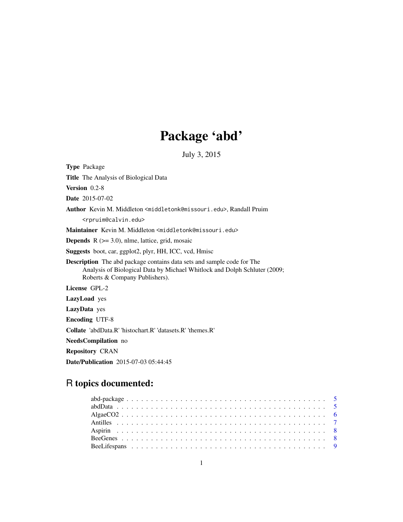# Package 'abd'

July 3, 2015

| <b>Type Package</b>                                                                                                                                                                          |
|----------------------------------------------------------------------------------------------------------------------------------------------------------------------------------------------|
| Title The Analysis of Biological Data                                                                                                                                                        |
| <b>Version</b> $0.2-8$                                                                                                                                                                       |
| <b>Date</b> 2015-07-02                                                                                                                                                                       |
| Author Kevin M. Middleton <middletonk@missouri.edu>, Randall Pruim</middletonk@missouri.edu>                                                                                                 |
| <rpruim@calvin.edu></rpruim@calvin.edu>                                                                                                                                                      |
| Maintainer Kevin M. Middleton <middletonk@missouri.edu></middletonk@missouri.edu>                                                                                                            |
| <b>Depends</b> $R$ ( $>= 3.0$ ), nlme, lattice, grid, mosaic                                                                                                                                 |
| <b>Suggests</b> boot, car, ggplot2, plyr, HH, ICC, vcd, Hmisc                                                                                                                                |
| <b>Description</b> The abd package contains data sets and sample code for The<br>Analysis of Biological Data by Michael Whitlock and Dolph Schluter (2009;<br>Roberts & Company Publishers). |
| License GPL-2                                                                                                                                                                                |
| LazyLoad yes                                                                                                                                                                                 |
| LazyData yes                                                                                                                                                                                 |
| <b>Encoding UTF-8</b>                                                                                                                                                                        |
| <b>Collate</b> 'abdData.R' 'histochart.R' 'datasets.R' 'themes.R'                                                                                                                            |
| NeedsCompilation no                                                                                                                                                                          |
| <b>Repository CRAN</b>                                                                                                                                                                       |
| <b>Date/Publication</b> 2015-07-03 05:44:45                                                                                                                                                  |

## R topics documented: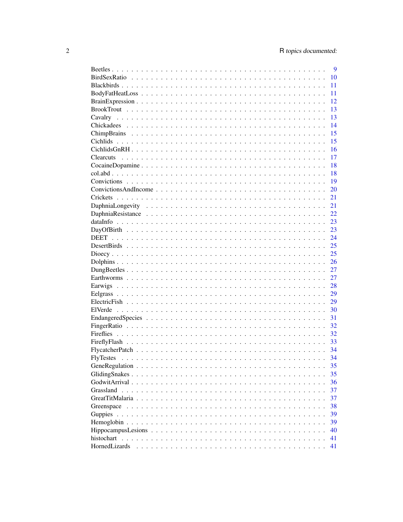|               | 9  |
|---------------|----|
|               | 10 |
|               | 11 |
|               | 11 |
|               | 12 |
|               | 13 |
|               | 13 |
|               | 14 |
|               | 15 |
|               | 15 |
|               | 16 |
|               | 17 |
|               | 18 |
|               | 18 |
|               | 19 |
|               | 20 |
|               | 21 |
|               | 21 |
|               | 22 |
|               | 23 |
|               | 23 |
|               | 24 |
|               | 25 |
|               |    |
|               | 25 |
|               | 26 |
|               | 27 |
|               | 27 |
|               | 28 |
|               | 29 |
|               | 29 |
|               | 30 |
|               | 31 |
|               | 32 |
|               | 32 |
|               | 33 |
|               | 34 |
|               | 34 |
|               | 35 |
|               | 35 |
|               | 36 |
|               | 37 |
|               | 37 |
| Greenspace    | 38 |
| Guppies       | 39 |
|               | 39 |
|               | 40 |
|               | 41 |
| HornedLizards | 41 |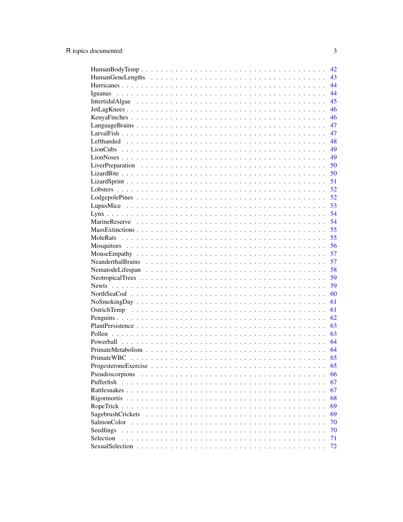|                                                                                               |  |  |  |  |  |  |  |  |  |        |  |  |  |  | 42 |
|-----------------------------------------------------------------------------------------------|--|--|--|--|--|--|--|--|--|--------|--|--|--|--|----|
|                                                                                               |  |  |  |  |  |  |  |  |  |        |  |  |  |  | 43 |
|                                                                                               |  |  |  |  |  |  |  |  |  |        |  |  |  |  | 44 |
|                                                                                               |  |  |  |  |  |  |  |  |  |        |  |  |  |  | 44 |
|                                                                                               |  |  |  |  |  |  |  |  |  |        |  |  |  |  | 45 |
|                                                                                               |  |  |  |  |  |  |  |  |  |        |  |  |  |  | 46 |
|                                                                                               |  |  |  |  |  |  |  |  |  |        |  |  |  |  | 46 |
|                                                                                               |  |  |  |  |  |  |  |  |  |        |  |  |  |  | 47 |
|                                                                                               |  |  |  |  |  |  |  |  |  |        |  |  |  |  | 47 |
|                                                                                               |  |  |  |  |  |  |  |  |  |        |  |  |  |  | 48 |
|                                                                                               |  |  |  |  |  |  |  |  |  |        |  |  |  |  | 49 |
|                                                                                               |  |  |  |  |  |  |  |  |  |        |  |  |  |  | 49 |
|                                                                                               |  |  |  |  |  |  |  |  |  |        |  |  |  |  | 50 |
|                                                                                               |  |  |  |  |  |  |  |  |  |        |  |  |  |  | 50 |
|                                                                                               |  |  |  |  |  |  |  |  |  |        |  |  |  |  | 51 |
|                                                                                               |  |  |  |  |  |  |  |  |  |        |  |  |  |  | 52 |
|                                                                                               |  |  |  |  |  |  |  |  |  |        |  |  |  |  | 52 |
|                                                                                               |  |  |  |  |  |  |  |  |  |        |  |  |  |  | 53 |
|                                                                                               |  |  |  |  |  |  |  |  |  |        |  |  |  |  | 54 |
|                                                                                               |  |  |  |  |  |  |  |  |  |        |  |  |  |  | 54 |
|                                                                                               |  |  |  |  |  |  |  |  |  |        |  |  |  |  | 55 |
|                                                                                               |  |  |  |  |  |  |  |  |  |        |  |  |  |  | 55 |
|                                                                                               |  |  |  |  |  |  |  |  |  |        |  |  |  |  | 56 |
|                                                                                               |  |  |  |  |  |  |  |  |  |        |  |  |  |  | 57 |
|                                                                                               |  |  |  |  |  |  |  |  |  |        |  |  |  |  | 57 |
|                                                                                               |  |  |  |  |  |  |  |  |  |        |  |  |  |  | 58 |
|                                                                                               |  |  |  |  |  |  |  |  |  |        |  |  |  |  | 59 |
|                                                                                               |  |  |  |  |  |  |  |  |  |        |  |  |  |  | 59 |
|                                                                                               |  |  |  |  |  |  |  |  |  |        |  |  |  |  | 60 |
|                                                                                               |  |  |  |  |  |  |  |  |  |        |  |  |  |  | 61 |
|                                                                                               |  |  |  |  |  |  |  |  |  |        |  |  |  |  |    |
|                                                                                               |  |  |  |  |  |  |  |  |  |        |  |  |  |  | 61 |
|                                                                                               |  |  |  |  |  |  |  |  |  |        |  |  |  |  | 62 |
|                                                                                               |  |  |  |  |  |  |  |  |  |        |  |  |  |  | 63 |
|                                                                                               |  |  |  |  |  |  |  |  |  |        |  |  |  |  | 63 |
|                                                                                               |  |  |  |  |  |  |  |  |  |        |  |  |  |  | 64 |
|                                                                                               |  |  |  |  |  |  |  |  |  |        |  |  |  |  | 64 |
|                                                                                               |  |  |  |  |  |  |  |  |  |        |  |  |  |  | 65 |
| Progesterone Exercise $\ldots \ldots \ldots \ldots \ldots \ldots \ldots \ldots \ldots \ldots$ |  |  |  |  |  |  |  |  |  |        |  |  |  |  | 65 |
| Pseudoscorpions                                                                               |  |  |  |  |  |  |  |  |  |        |  |  |  |  | 66 |
| Pufferfish                                                                                    |  |  |  |  |  |  |  |  |  |        |  |  |  |  | 67 |
|                                                                                               |  |  |  |  |  |  |  |  |  |        |  |  |  |  | 67 |
|                                                                                               |  |  |  |  |  |  |  |  |  |        |  |  |  |  | 68 |
|                                                                                               |  |  |  |  |  |  |  |  |  |        |  |  |  |  | 69 |
| SagebrushCrickets                                                                             |  |  |  |  |  |  |  |  |  | $\sim$ |  |  |  |  | 69 |
| SalmonColor                                                                                   |  |  |  |  |  |  |  |  |  |        |  |  |  |  | 70 |
| Seedlings                                                                                     |  |  |  |  |  |  |  |  |  |        |  |  |  |  | 70 |
| Selection                                                                                     |  |  |  |  |  |  |  |  |  |        |  |  |  |  | 71 |
|                                                                                               |  |  |  |  |  |  |  |  |  |        |  |  |  |  | 72 |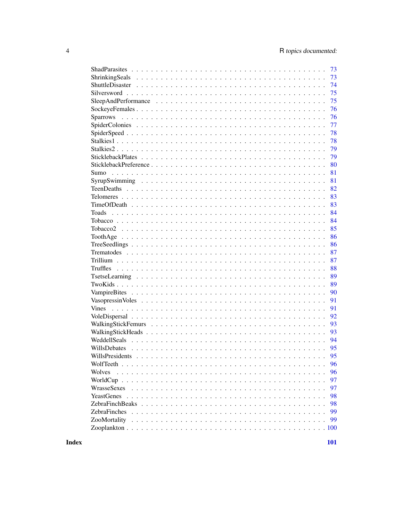| 73                  |    |
|---------------------|----|
| 73                  |    |
| 74                  |    |
| 75                  |    |
| 75                  |    |
|                     | 76 |
|                     | 76 |
|                     | 77 |
| 78                  |    |
| 78                  |    |
|                     | 79 |
|                     | 79 |
| 80                  |    |
| 81<br>Sumo          |    |
| 81                  |    |
| 82                  |    |
| 83                  |    |
| 83                  |    |
| 84                  |    |
| 84                  |    |
| 85                  |    |
|                     | 86 |
|                     | 86 |
|                     | 87 |
|                     | 87 |
| 88                  |    |
|                     | 89 |
|                     | 89 |
|                     | 90 |
| 91                  |    |
| 91                  |    |
| 92                  |    |
| 93                  |    |
| 93                  |    |
| 94                  |    |
| 95<br>WillsDebates  |    |
| 95                  |    |
|                     | 96 |
| Wolves              | 96 |
|                     | 97 |
| WrasseSexes         | 97 |
|                     | 98 |
|                     | 98 |
| <b>ZebraFinches</b> | 99 |
| ZooMortality        | 99 |
|                     |    |
|                     |    |

**Index**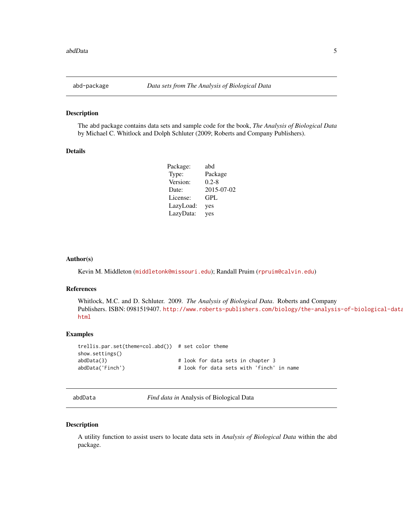<span id="page-4-0"></span>

The abd package contains data sets and sample code for the book, *The Analysis of Biological Data* by Michael C. Whitlock and Dolph Schluter (2009; Roberts and Company Publishers).

#### Details

| Package:  | abd        |
|-----------|------------|
| Type:     | Package    |
| Version:  | $0.2 - 8$  |
| Date:     | 2015-07-02 |
| License:  | GPL        |
| LazyLoad: | yes        |
| LazyData: | yes        |
|           |            |

#### Author(s)

Kevin M. Middleton (<middletonk@missouri.edu>); Randall Pruim (<rpruim@calvin.edu>)

#### References

Whitlock, M.C. and D. Schluter. 2009. *The Analysis of Biological Data*. Roberts and Company Publishers. ISBN: 0981519407. [http://www.roberts-publishers.com/biology/the-analysis](http://www.roberts-publishers.com/biology/the-analysis-of-biological-data.html)-of-biological-data. [html](http://www.roberts-publishers.com/biology/the-analysis-of-biological-data.html)

#### Examples

```
trellis.par.set(theme=col.abd()) # set color theme
show.settings()
abdData(3) # look for data sets in chapter 3
abdData('Finch') \qquad \qquad \qquad \qquad \qquad \qquad \qquad \qquad \qquad \qquad \text{book for data sets with 'finch' in name}
```
<span id="page-4-1"></span>abdData *Find data in* Analysis of Biological Data

#### Description

A utility function to assist users to locate data sets in *Analysis of Biological Data* within the abd package.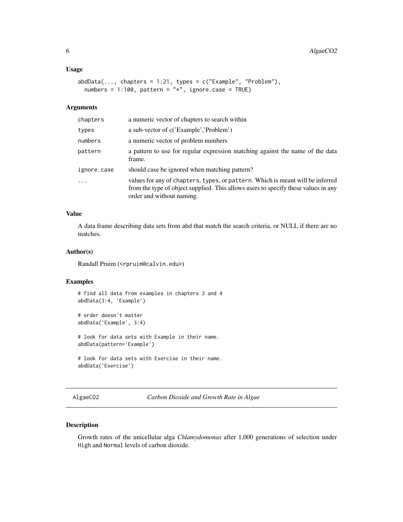#### <span id="page-5-0"></span>Usage

```
abdbata(..., chapters = 1:21, types = c("Example", "Problem"),numbers = 1:100, pattern = "*", ignore.case = TRUE)
```
#### Arguments

| chapters    | a numeric vector of chapters to search within                                                                                                                                                     |
|-------------|---------------------------------------------------------------------------------------------------------------------------------------------------------------------------------------------------|
| types       | a sub-vector of c('Example','Problem')                                                                                                                                                            |
| numbers     | a numeric vector of problem numbers                                                                                                                                                               |
| pattern     | a pattern to use for regular expression matching against the name of the data<br>frame.                                                                                                           |
| ignore.case | should case be ignored when matching pattern?                                                                                                                                                     |
| $\cdots$    | values for any of chapters, types, or pattern. Which is meant will be inferred<br>from the type of object supplied. This allows users to specify these values in any<br>order and without naming. |

## Value

A data frame describing data sets from abd that match the search criteria, or NULL if there are no matches.

## Author(s)

Randall Pruim (<rpruim@calvin.edu>)

#### Examples

```
# find all data from examples in chapters 3 and 4
abdData(3:4, 'Example')
```
# order doesn't matter abdData('Example', 3:4)

# look for data sets with Example in their name. abdData(pattern='Example')

```
# look for data sets with Exercise in their name.
abdData('Exercise')
```
AlgaeCO2 *Carbon Dioxide and Growth Rate in Algae*

## Description

Growth rates of the unicellular alga *Chlamydomonas* after 1,000 generations of selection under High and Normal levels of carbon dioxide.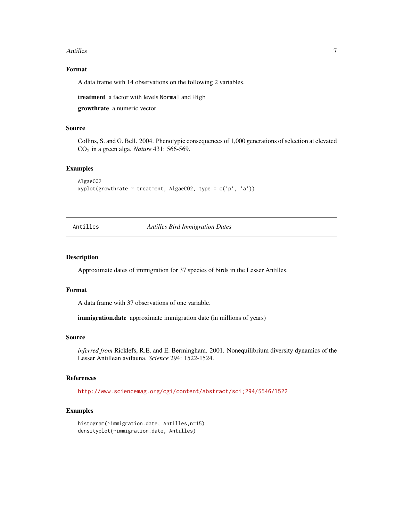#### <span id="page-6-0"></span>Antilles 7

## Format

A data frame with 14 observations on the following 2 variables.

treatment a factor with levels Normal and High

growthrate a numeric vector

## Source

Collins, S. and G. Bell. 2004. Phenotypic consequences of 1,000 generations of selection at elevated CO<sup>2</sup> in a green alga. *Nature* 431: 566-569.

#### Examples

```
AlgaeCO2
xyplot(growthrate ~ treatment, AlgaeCO2, type = c('p', 'a'))
```
Antilles *Antilles Bird Immigration Dates*

## Description

Approximate dates of immigration for 37 species of birds in the Lesser Antilles.

#### Format

A data frame with 37 observations of one variable.

immigration.date approximate immigration date (in millions of years)

#### Source

*inferred from* Ricklefs, R.E. and E. Bermingham. 2001. Nonequilibrium diversity dynamics of the Lesser Antillean avifauna. *Science* 294: 1522-1524.

## References

<http://www.sciencemag.org/cgi/content/abstract/sci;294/5546/1522>

```
histogram(~immigration.date, Antilles,n=15)
densityplot(~immigration.date, Antilles)
```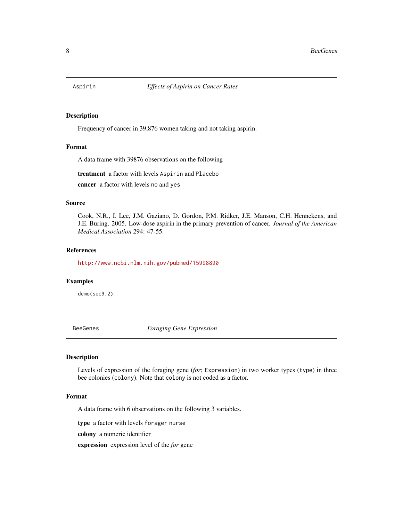<span id="page-7-0"></span>

Frequency of cancer in 39,876 women taking and not taking aspirin.

## Format

A data frame with 39876 observations on the following

treatment a factor with levels Aspirin and Placebo

cancer a factor with levels no and yes

#### Source

Cook, N.R., I. Lee, J.M. Gaziano, D. Gordon, P.M. Ridker, J.E. Manson, C.H. Hennekens, and J.E. Buring. 2005. Low-dose aspirin in the primary prevention of cancer. *Journal of the American Medical Association* 294: 47-55.

## References

<http://www.ncbi.nlm.nih.gov/pubmed/15998890>

#### Examples

demo(sec9.2)

BeeGenes *Foraging Gene Expression*

#### Description

Levels of expression of the foraging gene (*for*; Expression) in two worker types (type) in three bee colonies (colony). Note that colony is not coded as a factor.

#### Format

A data frame with 6 observations on the following 3 variables.

type a factor with levels forager nurse

colony a numeric identifier

expression expression level of the *for* gene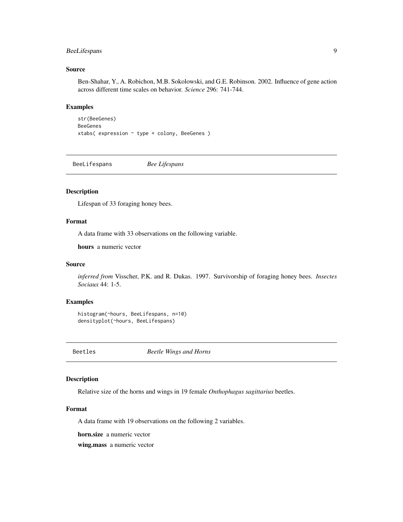## <span id="page-8-0"></span>BeeLifespans 9

## Source

Ben-Shahar, Y., A. Robichon, M.B. Sokolowski, and G.E. Robinson. 2002. Influence of gene action across different time scales on behavior. *Science* 296: 741-744.

#### Examples

```
str(BeeGenes)
BeeGenes
xtabs( expression ~ type + colony, BeeGenes )
```
BeeLifespans *Bee Lifespans*

## Description

Lifespan of 33 foraging honey bees.

## Format

A data frame with 33 observations on the following variable.

hours a numeric vector

## Source

*inferred from* Visscher, P.K. and R. Dukas. 1997. Survivorship of foraging honey bees. *Insectes Sociaux* 44: 1-5.

## Examples

```
histogram(~hours, BeeLifespans, n=10)
densityplot(~hours, BeeLifespans)
```
Beetles *Beetle Wings and Horns*

#### Description

Relative size of the horns and wings in 19 female *Onthophagus sagittarius* beetles.

## Format

A data frame with 19 observations on the following 2 variables.

horn.size a numeric vector

wing.mass a numeric vector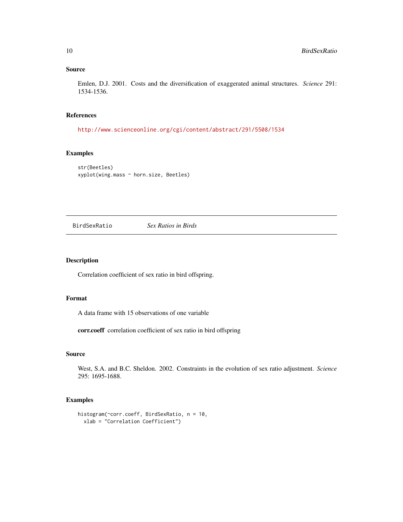## <span id="page-9-0"></span>Source

Emlen, D.J. 2001. Costs and the diversification of exaggerated animal structures. *Science* 291: 1534-1536.

## References

<http://www.scienceonline.org/cgi/content/abstract/291/5508/1534>

## Examples

str(Beetles) xyplot(wing.mass ~ horn.size, Beetles)

BirdSexRatio *Sex Ratios in Birds*

## Description

Correlation coefficient of sex ratio in bird offspring.

## Format

A data frame with 15 observations of one variable

corr.coeff correlation coefficient of sex ratio in bird offspring

#### Source

West, S.A. and B.C. Sheldon. 2002. Constraints in the evolution of sex ratio adjustment. *Science* 295: 1695-1688.

```
histogram(~corr.coeff, BirdSexRatio, n = 10,
  xlab = "Correlation Coefficient")
```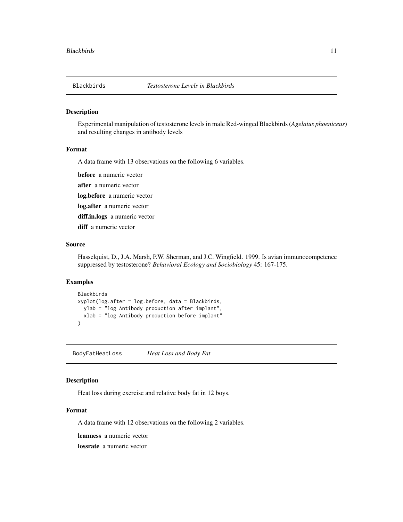<span id="page-10-0"></span>

Experimental manipulation of testosterone levels in male Red-winged Blackbirds (*Agelaius phoeniceus*) and resulting changes in antibody levels

#### Format

A data frame with 13 observations on the following 6 variables.

before a numeric vector

after a numeric vector

log.before a numeric vector

log.after a numeric vector

diff.in.logs a numeric vector

diff a numeric vector

#### Source

Hasselquist, D., J.A. Marsh, P.W. Sherman, and J.C. Wingfield. 1999. Is avian immunocompetence suppressed by testosterone? *Behavioral Ecology and Sociobiology* 45: 167-175.

#### Examples

```
Blackbirds
xyplot(log.after ~ log.before, data = Blackbirds,
  ylab = "log Antibody production after implant",
  xlab = "log Antibody production before implant"
\overline{\phantom{a}}
```
BodyFatHeatLoss *Heat Loss and Body Fat*

## Description

Heat loss during exercise and relative body fat in 12 boys.

#### Format

A data frame with 12 observations on the following 2 variables.

leanness a numeric vector

lossrate a numeric vector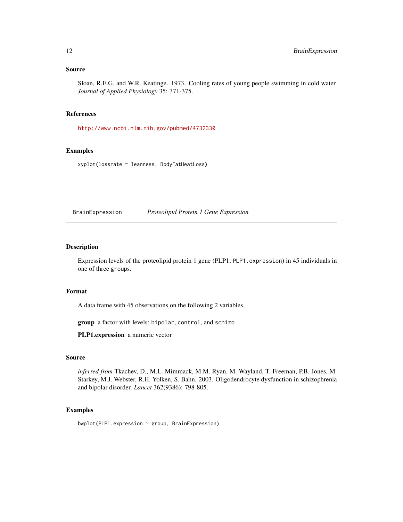#### <span id="page-11-0"></span>Source

Sloan, R.E.G. and W.R. Keatinge. 1973. Cooling rates of young people swimming in cold water. *Journal of Applied Physiology* 35: 371-375.

## References

<http://www.ncbi.nlm.nih.gov/pubmed/4732330>

#### Examples

xyplot(lossrate ~ leanness, BodyFatHeatLoss)

BrainExpression *Proteolipid Protein 1 Gene Expression*

## Description

Expression levels of the proteolipid protein 1 gene (PLP1; PLP1. expression) in 45 individuals in one of three groups.

#### Format

A data frame with 45 observations on the following 2 variables.

group a factor with levels: bipolar, control, and schizo

PLP1.expression a numeric vector

#### Source

*inferred from* Tkachev, D., M.L. Mimmack, M.M. Ryan, M. Wayland, T. Freeman, P.B. Jones, M. Starkey, M.J. Webster, R.H. Yolken, S. Bahn. 2003. Oligodendrocyte dysfunction in schizophrenia and bipolar disorder. *Lancet* 362(9386): 798-805.

#### Examples

bwplot(PLP1.expression ~ group, BrainExpression)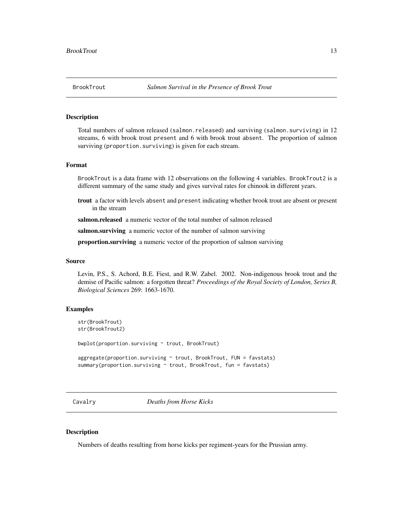<span id="page-12-0"></span>Total numbers of salmon released (salmon.released) and surviving (salmon.surviving) in 12 streams, 6 with brook trout present and 6 with brook trout absent. The proportion of salmon surviving (proportion. surviving) is given for each stream.

#### Format

BrookTrout is a data frame with 12 observations on the following 4 variables. BrookTrout2 is a different summary of the same study and gives survival rates for chinook in different years.

trout a factor with levels absent and present indicating whether brook trout are absent or present in the stream

salmon.released a numeric vector of the total number of salmon released

salmon.surviving a numeric vector of the number of salmon surviving

proportion.surviving a numeric vector of the proportion of salmon surviving

#### Source

Levin, P.S., S. Achord, B.E. Fiest, and R.W. Zabel. 2002. Non-indigenous brook trout and the demise of Pacific salmon: a forgotten threat? *Proceedings of the Royal Society of London, Series B, Biological Sciences* 269: 1663-1670.

#### Examples

```
str(BrookTrout)
str(BrookTrout2)
```
bwplot(proportion.surviving ~ trout, BrookTrout)

```
aggregate(proportion.surviving ~ trout, BrookTrout, FUN = favstats)
summary(proportion.surviving \sim trout, BrookTrout, fun = favstats)
```
Cavalry *Deaths from Horse Kicks*

## **Description**

Numbers of deaths resulting from horse kicks per regiment-years for the Prussian army.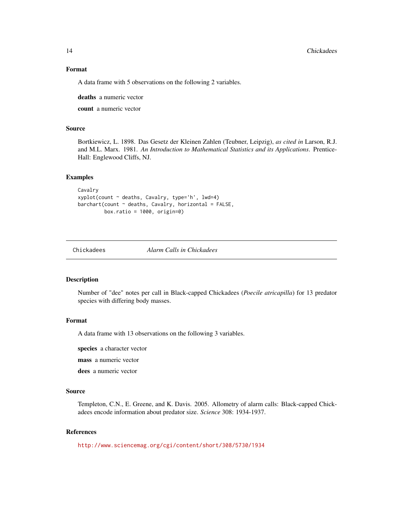## Format

A data frame with 5 observations on the following 2 variables.

deaths a numeric vector

count a numeric vector

## Source

Bortkiewicz, L. 1898. Das Gesetz der Kleinen Zahlen (Teubner, Leipzig), *as cited in* Larson, R.J. and M.L. Marx. 1981. *An Introduction to Mathematical Statistics and its Applications*. Prentice-Hall: Englewood Cliffs, NJ.

## Examples

```
Cavalry
xyplot(count ~ deaths, Cavalry, type='h', lwd=4)
barchart(count \sim deaths, Cavalry, horizontal = FALSE,box.ratio = 1000, origin=0)
```
Chickadees *Alarm Calls in Chickadees*

#### Description

Number of "dee" notes per call in Black-capped Chickadees (*Poecile atricapilla*) for 13 predator species with differing body masses.

## Format

A data frame with 13 observations on the following 3 variables.

species a character vector

mass a numeric vector

dees a numeric vector

#### Source

Templeton, C.N., E. Greene, and K. Davis. 2005. Allometry of alarm calls: Black-capped Chickadees encode information about predator size. *Science* 308: 1934-1937.

## References

<http://www.sciencemag.org/cgi/content/short/308/5730/1934>

<span id="page-13-0"></span>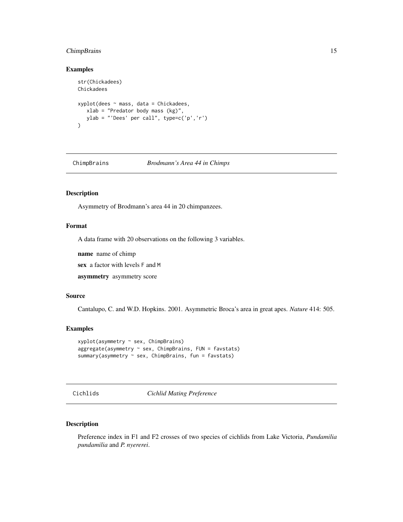## <span id="page-14-0"></span>ChimpBrains 15

## Examples

```
str(Chickadees)
Chickadees
xyplot(dees ~ mass, data = Chickadees,
  xlab = "Predator body mass (kg)",
  ylab = "'Dees' per call", type=c('p','r')
)
```
ChimpBrains *Brodmann's Area 44 in Chimps*

## Description

Asymmetry of Brodmann's area 44 in 20 chimpanzees.

#### Format

A data frame with 20 observations on the following 3 variables.

name name of chimp

sex a factor with levels F and M

asymmetry asymmetry score

#### Source

Cantalupo, C. and W.D. Hopkins. 2001. Asymmetric Broca's area in great apes. *Nature* 414: 505.

#### Examples

```
xyplot(asymmetry ~ sex, ChimpBrains)
aggregate(asymmetry ~ sex, ChimpBrains, FUN = favstats)
summary(asymmetry ~ sex, ChimpBrains, fun = favstats)
```
Cichlids *Cichlid Mating Preference*

## Description

Preference index in F1 and F2 crosses of two species of cichlids from Lake Victoria, *Pundamilia pundamilia* and *P. nyererei*.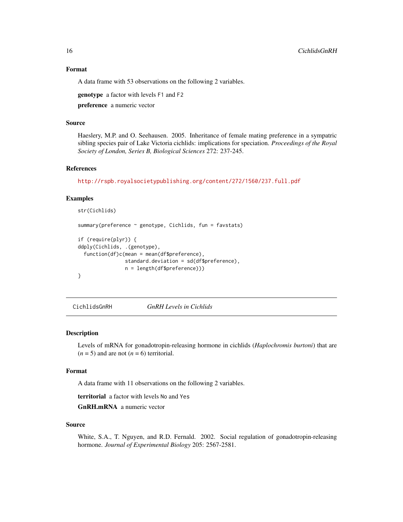## <span id="page-15-0"></span>Format

A data frame with 53 observations on the following 2 variables.

genotype a factor with levels F1 and F2

preference a numeric vector

#### Source

Haeslery, M.P. and O. Seehausen. 2005. Inheritance of female mating preference in a sympatric sibling species pair of Lake Victoria cichlids: implications for speciation. *Proceedings of the Royal Society of London, Series B, Biological Sciences* 272: 237-245.

#### References

<http://rspb.royalsocietypublishing.org/content/272/1560/237.full.pdf>

#### Examples

```
str(Cichlids)
summary(preference ~ genotype, Cichlids, fun = favstats)
if (require(plyr)) {
ddply(Cichlids, .(genotype),
 function(df)c(mean = mean(df$preference),
                standard.deviation = sd(df$preference),
                n = length(df$preference)))
}
```
CichlidsGnRH *GnRH Levels in Cichlids*

#### Description

Levels of mRNA for gonadotropin-releasing hormone in cichlids (*Haplochromis burtoni*) that are  $(n = 5)$  and are not  $(n = 6)$  territorial.

#### Format

A data frame with 11 observations on the following 2 variables.

territorial a factor with levels No and Yes

GnRH.mRNA a numeric vector

#### Source

White, S.A., T. Nguyen, and R.D. Fernald. 2002. Social regulation of gonadotropin-releasing hormone. *Journal of Experimental Biology* 205: 2567-2581.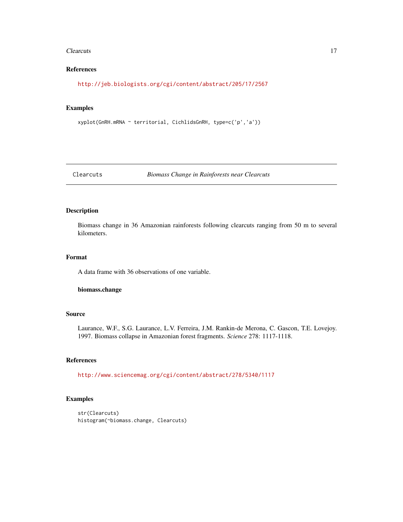#### <span id="page-16-0"></span>Clearcuts 2008 and 2008 and 2008 and 2008 and 2008 and 2008 and 2008 and 2008 and 2008 and 2008 and 2008 and 2008 and 2008 and 2008 and 2008 and 2008 and 2008 and 2008 and 2008 and 2008 and 2008 and 2008 and 2008 and 2008

## References

<http://jeb.biologists.org/cgi/content/abstract/205/17/2567>

## Examples

```
xyplot(GnRH.mRNA ~ territorial, CichlidsGnRH, type=c('p','a'))
```
Clearcuts *Biomass Change in Rainforests near Clearcuts*

## Description

Biomass change in 36 Amazonian rainforests following clearcuts ranging from 50 m to several kilometers.

## Format

A data frame with 36 observations of one variable.

#### biomass.change

## Source

Laurance, W.F., S.G. Laurance, L.V. Ferreira, J.M. Rankin-de Merona, C. Gascon, T.E. Lovejoy. 1997. Biomass collapse in Amazonian forest fragments. *Science* 278: 1117-1118.

#### References

<http://www.sciencemag.org/cgi/content/abstract/278/5340/1117>

```
str(Clearcuts)
histogram(~biomass.change, Clearcuts)
```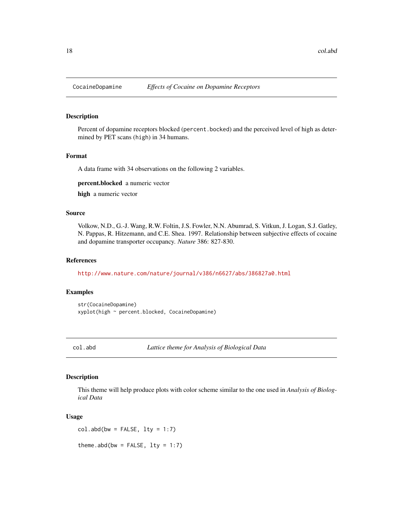<span id="page-17-0"></span>

Percent of dopamine receptors blocked (percent.bocked) and the perceived level of high as determined by PET scans (high) in 34 humans.

## Format

A data frame with 34 observations on the following 2 variables.

percent.blocked a numeric vector

high a numeric vector

#### Source

Volkow, N.D., G.-J. Wang, R.W. Foltin, J.S. Fowler, N.N. Abumrad, S. Vitkun, J. Logan, S.J. Gatley, N. Pappas, R. Hitzemann, and C.E. Shea. 1997. Relationship between subjective effects of cocaine and dopamine transporter occupancy. *Nature* 386: 827-830.

## References

<http://www.nature.com/nature/journal/v386/n6627/abs/386827a0.html>

#### Examples

str(CocaineDopamine) xyplot(high ~ percent.blocked, CocaineDopamine)

col.abd *Lattice theme for Analysis of Biological Data*

#### Description

This theme will help produce plots with color scheme similar to the one used in *Analysis of Biological Data*

## Usage

 $col.add(bw = FALSE, lty = 1:7)$ 

theme.abd(bw = FALSE,  $lty = 1:7$ )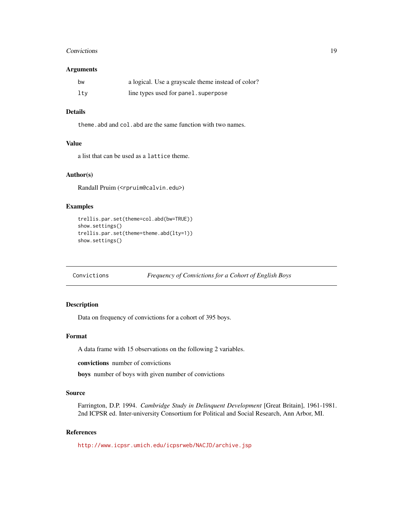#### <span id="page-18-0"></span>Convictions 19

## Arguments

| bw  | a logical. Use a grayscale theme instead of color? |
|-----|----------------------------------------------------|
| ltv | line types used for panel. superpose               |

## Details

theme.abd and col.abd are the same function with two names.

## Value

a list that can be used as a lattice theme.

## Author(s)

Randall Pruim (<rpruim@calvin.edu>)

## Examples

```
trellis.par.set(theme=col.abd(bw=TRUE))
show.settings()
trellis.par.set(theme=theme.abd(lty=1))
show.settings()
```
Convictions *Frequency of Convictions for a Cohort of English Boys*

## Description

Data on frequency of convictions for a cohort of 395 boys.

## Format

A data frame with 15 observations on the following 2 variables.

convictions number of convictions

boys number of boys with given number of convictions

#### Source

Farrington, D.P. 1994. *Cambridge Study in Delinquent Development* [Great Britain], 1961-1981. 2nd ICPSR ed. Inter-university Consortium for Political and Social Research, Ann Arbor, MI.

## References

<http://www.icpsr.umich.edu/icpsrweb/NACJD/archive.jsp>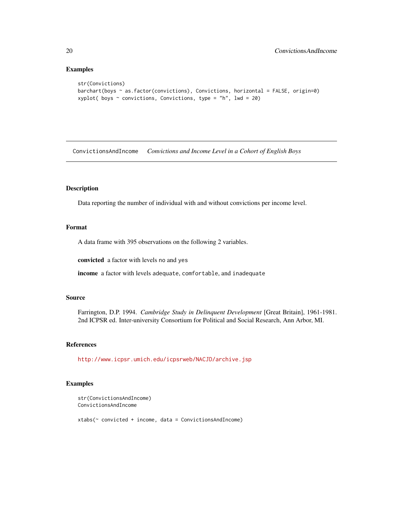## Examples

```
str(Convictions)
barchart(boys ~ as.factor(convictions), Convictions, horizontal = FALSE, origin=0)
xyplot( boys \sim convictions, Convictions, type = "h", lwd = 20)
```
ConvictionsAndIncome *Convictions and Income Level in a Cohort of English Boys*

## Description

Data reporting the number of individual with and without convictions per income level.

## Format

A data frame with 395 observations on the following 2 variables.

convicted a factor with levels no and yes

income a factor with levels adequate, comfortable, and inadequate

#### Source

Farrington, D.P. 1994. *Cambridge Study in Delinquent Development* [Great Britain], 1961-1981. 2nd ICPSR ed. Inter-university Consortium for Political and Social Research, Ann Arbor, MI.

#### References

<http://www.icpsr.umich.edu/icpsrweb/NACJD/archive.jsp>

## Examples

```
str(ConvictionsAndIncome)
ConvictionsAndIncome
```
xtabs(~ convicted + income, data = ConvictionsAndIncome)

<span id="page-19-0"></span>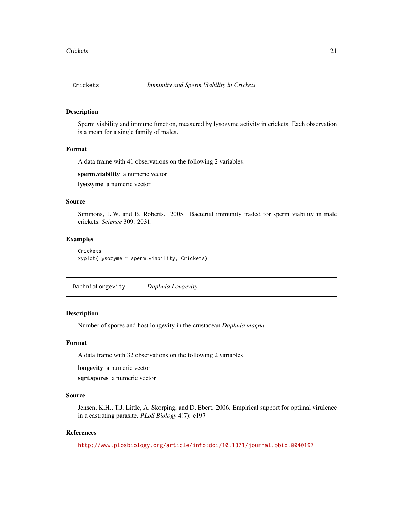<span id="page-20-0"></span>

Sperm viability and immune function, measured by lysozyme activity in crickets. Each observation is a mean for a single family of males.

#### Format

A data frame with 41 observations on the following 2 variables.

sperm.viability a numeric vector lysozyme a numeric vector

#### Source

Simmons, L.W. and B. Roberts. 2005. Bacterial immunity traded for sperm viability in male crickets. *Science* 309: 2031.

## Examples

```
Crickets
xyplot(lysozyme ~ sperm.viability, Crickets)
```
DaphniaLongevity *Daphnia Longevity*

#### Description

Number of spores and host longevity in the crustacean *Daphnia magna*.

#### Format

A data frame with 32 observations on the following 2 variables.

longevity a numeric vector

sqrt.spores a numeric vector

## Source

Jensen, K.H., T.J. Little, A. Skorping, and D. Ebert. 2006. Empirical support for optimal virulence in a castrating parasite. *PLoS Biology* 4(7): e197

#### References

<http://www.plosbiology.org/article/info:doi/10.1371/journal.pbio.0040197>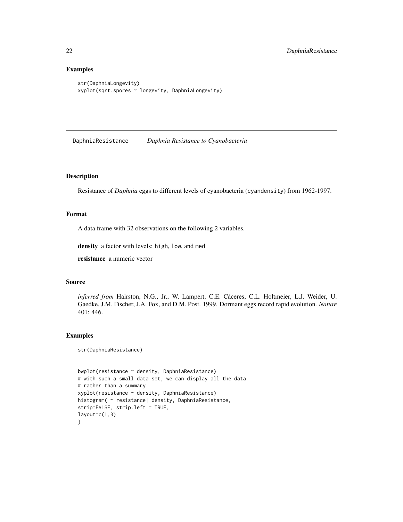## Examples

```
str(DaphniaLongevity)
xyplot(sqrt.spores ~ longevity, DaphniaLongevity)
```
DaphniaResistance *Daphnia Resistance to Cyanobacteria*

## Description

Resistance of *Daphnia* eggs to different levels of cyanobacteria (cyandensity) from 1962-1997.

## Format

A data frame with 32 observations on the following 2 variables.

density a factor with levels: high, low, and med

resistance a numeric vector

## Source

*inferred from* Hairston, N.G., Jr., W. Lampert, C.E. Cáceres, C.L. Holtmeier, L.J. Weider, U. Gaedke, J.M. Fischer, J.A. Fox, and D.M. Post. 1999. Dormant eggs record rapid evolution. *Nature* 401: 446.

#### Examples

str(DaphniaResistance)

```
bwplot(resistance ~ density, DaphniaResistance)
# with such a small data set, we can display all the data
# rather than a summary
xyplot(resistance ~ density, DaphniaResistance)
histogram( ~ resistance| density, DaphniaResistance,
strip=FALSE, strip.left = TRUE,
layout=c(1,3))
```
<span id="page-21-0"></span>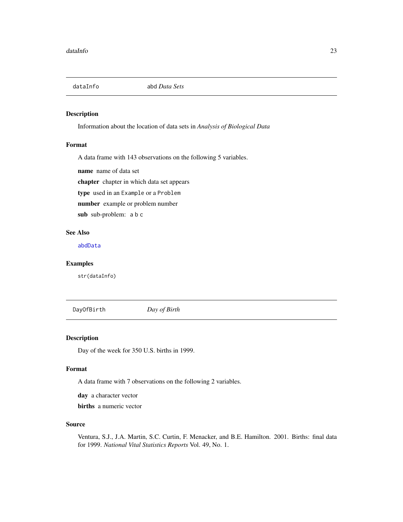<span id="page-22-0"></span>

Information about the location of data sets in *Analysis of Biological Data*

#### Format

A data frame with 143 observations on the following 5 variables.

name name of data set

chapter chapter in which data set appears

type used in an Example or a Problem

number example or problem number

sub sub-problem: a b c

## See Also

[abdData](#page-4-1)

## Examples

str(dataInfo)

DayOfBirth *Day of Birth*

## Description

Day of the week for 350 U.S. births in 1999.

#### Format

A data frame with 7 observations on the following 2 variables.

day a character vector

births a numeric vector

#### Source

Ventura, S.J., J.A. Martin, S.C. Curtin, F. Menacker, and B.E. Hamilton. 2001. Births: final data for 1999. *National Vital Statistics Reports* Vol. 49, No. 1.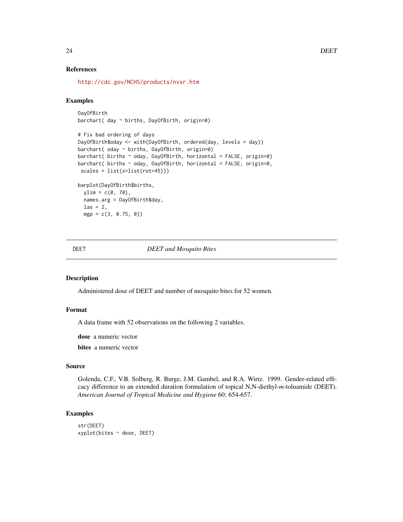#### References

<http://cdc.gov/NCHS/products/nvsr.htm>

#### Examples

```
DayOfBirth
barchart( day ~ births, DayOfBirth, origin=0)
# Fix bad ordering of days
DayOfBirth$oday <- with(DayOfBirth, ordered(day, levels = day))
barchart( oday ~ births, DayOfBirth, origin=0)
barchart( births ~ oday, DayOfBirth, horizontal = FALSE, origin=0)
barchart( births \sim oday, DayOfBirth, horizontal = FALSE, origin=0,
scales = list(x=list(rot=45)))
barplot(DayOfBirth$births,
 ylim = c(0, 70),names.arg = DayOfBirth$day,
 \text{las} = 2,
 mgp = c(3, 0.75, 0))
```
#### DEET *DEET and Mosquito Bites*

#### Description

Administered dose of DEET and number of mosquito bites for 52 women.

#### Format

A data frame with 52 observations on the following 2 variables.

dose a numeric vector

bites a numeric vector

## Source

Golenda, C.F., V.B. Solberg, R. Burge, J.M. Gambel, and R.A. Wirtz. 1999. Gender-related efficacy difference to an extended duration formulation of topical N,N-diethyl-*m*-toluamide (DEET). *American Journal of Tropical Medicine and Hygiene* 60: 654-657.

```
str(DEET)
xyplot(bites ~ dose, DEET)
```
<span id="page-23-0"></span>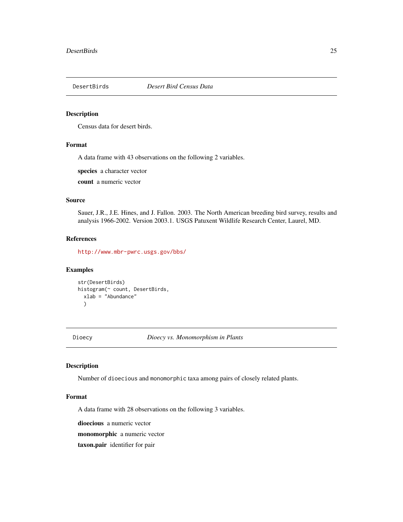<span id="page-24-0"></span>

Census data for desert birds.

## Format

A data frame with 43 observations on the following 2 variables.

species a character vector

count a numeric vector

## Source

Sauer, J.R., J.E. Hines, and J. Fallon. 2003. The North American breeding bird survey, results and analysis 1966-2002. Version 2003.1. USGS Patuxent Wildlife Research Center, Laurel, MD.

## References

<http://www.mbr-pwrc.usgs.gov/bbs/>

## Examples

```
str(DesertBirds)
histogram(~ count, DesertBirds,
  xlab = "Abundance"
  \lambda
```
Dioecy *Dioecy vs. Monomorphism in Plants*

## Description

Number of dioecious and monomorphic taxa among pairs of closely related plants.

#### Format

A data frame with 28 observations on the following 3 variables.

dioecious a numeric vector

monomorphic a numeric vector

taxon.pair identifier for pair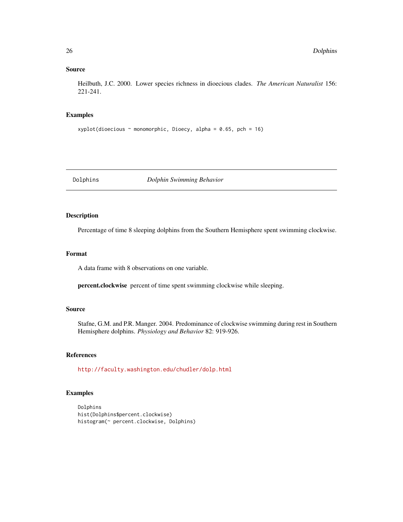## <span id="page-25-0"></span>Source

Heilbuth, J.C. 2000. Lower species richness in dioecious clades. *The American Naturalist* 156: 221-241.

#### Examples

```
xyplot(dioecious \sim monomorphic, Dioecy, alpha = 0.65, pch = 16)
```
Dolphins *Dolphin Swimming Behavior*

## Description

Percentage of time 8 sleeping dolphins from the Southern Hemisphere spent swimming clockwise.

## Format

A data frame with 8 observations on one variable.

percent.clockwise percent of time spent swimming clockwise while sleeping.

## Source

Stafne, G.M. and P.R. Manger. 2004. Predominance of clockwise swimming during rest in Southern Hemisphere dolphins. *Physiology and Behavior* 82: 919-926.

## References

<http://faculty.washington.edu/chudler/dolp.html>

```
Dolphins
hist(Dolphins$percent.clockwise)
histogram(~ percent.clockwise, Dolphins)
```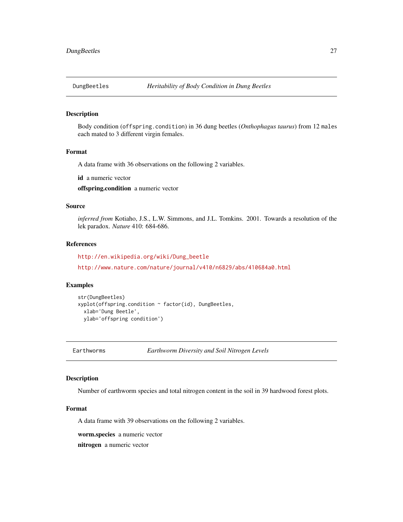<span id="page-26-0"></span>

Body condition (offspring.condition) in 36 dung beetles (*Onthophagus taurus*) from 12 males each mated to 3 different virgin females.

## Format

A data frame with 36 observations on the following 2 variables.

id a numeric vector

offspring.condition a numeric vector

## Source

*inferred from* Kotiaho, J.S., L.W. Simmons, and J.L. Tomkins. 2001. Towards a resolution of the lek paradox. *Nature* 410: 684-686.

## References

[http://en.wikipedia.org/wiki/Dung\\_beetle](http://en.wikipedia.org/wiki/Dung_beetle)

<http://www.nature.com/nature/journal/v410/n6829/abs/410684a0.html>

#### Examples

```
str(DungBeetles)
xyplot(offspring.condition ~ factor(id), DungBeetles,
 xlab='Dung Beetle',
 ylab='offspring condition')
```
Earthworms *Earthworm Diversity and Soil Nitrogen Levels*

#### Description

Number of earthworm species and total nitrogen content in the soil in 39 hardwood forest plots.

#### Format

A data frame with 39 observations on the following 2 variables.

worm.species a numeric vector

nitrogen a numeric vector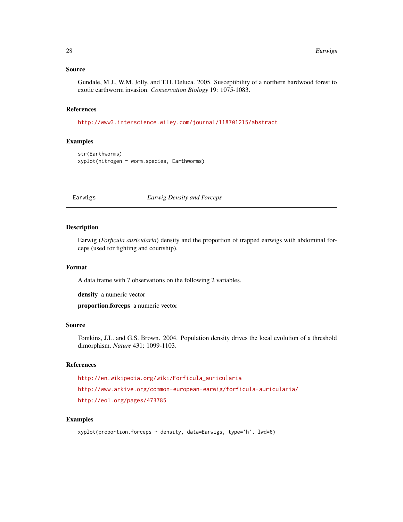#### <span id="page-27-0"></span>Source

Gundale, M.J., W.M. Jolly, and T.H. Deluca. 2005. Susceptibility of a northern hardwood forest to exotic earthworm invasion. *Conservation Biology* 19: 1075-1083.

#### References

<http://www3.interscience.wiley.com/journal/118701215/abstract>

## Examples

```
str(Earthworms)
xyplot(nitrogen ~ worm.species, Earthworms)
```
#### Earwigs *Earwig Density and Forceps*

#### Description

Earwig (*Forficula auricularia*) density and the proportion of trapped earwigs with abdominal forceps (used for fighting and courtship).

#### Format

A data frame with 7 observations on the following 2 variables.

density a numeric vector

proportion.forceps a numeric vector

#### Source

Tomkins, J.L. and G.S. Brown. 2004. Population density drives the local evolution of a threshold dimorphism. *Nature* 431: 1099-1103.

#### References

```
http://en.wikipedia.org/wiki/Forficula_auricularia
```
<http://www.arkive.org/common-european-earwig/forficula-auricularia/>

<http://eol.org/pages/473785>

```
xyplot(proportion.forceps ~ density, data=Earwigs, type='h', lwd=6)
```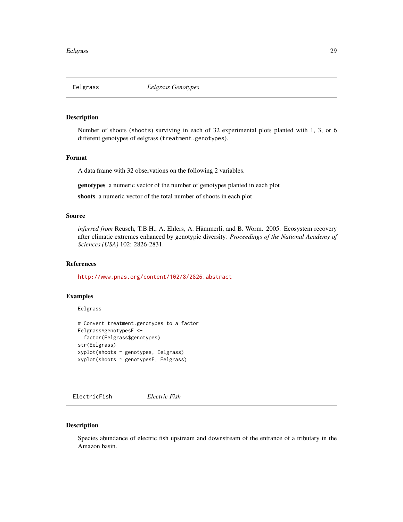<span id="page-28-0"></span>

Number of shoots (shoots) surviving in each of 32 experimental plots planted with 1, 3, or 6 different genotypes of eelgrass (treatment.genotypes).

## Format

A data frame with 32 observations on the following 2 variables.

genotypes a numeric vector of the number of genotypes planted in each plot

shoots a numeric vector of the total number of shoots in each plot

## Source

*inferred from* Reusch, T.B.H., A. Ehlers, A. Hämmerli, and B. Worm. 2005. Ecosystem recovery after climatic extremes enhanced by genotypic diversity. *Proceedings of the National Academy of Sciences (USA)* 102: 2826-2831.

#### References

<http://www.pnas.org/content/102/8/2826.abstract>

#### Examples

Eelgrass

```
# Convert treatment.genotypes to a factor
Eelgrass$genotypesF <-
  factor(Eelgrass$genotypes)
str(Eelgrass)
xyplot(shoots ~ genotypes, Eelgrass)
xyplot(shoots ~ genotypesF, Eelgrass)
```
ElectricFish *Electric Fish*

#### Description

Species abundance of electric fish upstream and downstream of the entrance of a tributary in the Amazon basin.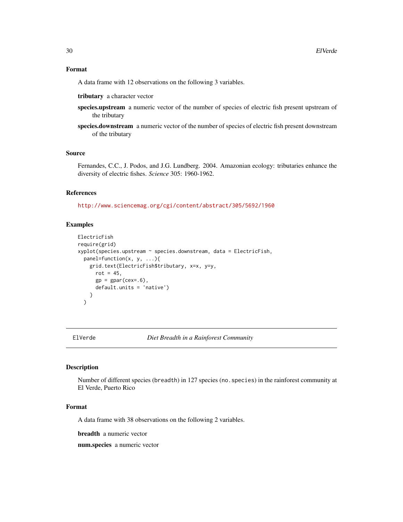#### <span id="page-29-0"></span>Format

A data frame with 12 observations on the following 3 variables.

tributary a character vector

- species.upstream a numeric vector of the number of species of electric fish present upstream of the tributary
- species.downstream a numeric vector of the number of species of electric fish present downstream of the tributary

#### Source

Fernandes, C.C., J. Podos, and J.G. Lundberg. 2004. Amazonian ecology: tributaries enhance the diversity of electric fishes. *Science* 305: 1960-1962.

#### References

<http://www.sciencemag.org/cgi/content/abstract/305/5692/1960>

## Examples

```
ElectricFish
require(grid)
xyplot(species.upstream ~ species.downstream, data = ElectricFish,
  panel = function(x, y, ...)grid.text(ElectricFish$tributary, x=x, y=y,
      rot = 45,
      gp = gpar(cex=.6),
      default.units = 'native')
    }
  \lambda
```
ElVerde *Diet Breadth in a Rainforest Community*

#### Description

Number of different species (breadth) in 127 species (no.species) in the rainforest community at El Verde, Puerto Rico

## Format

A data frame with 38 observations on the following 2 variables.

breadth a numeric vector

num.species a numeric vector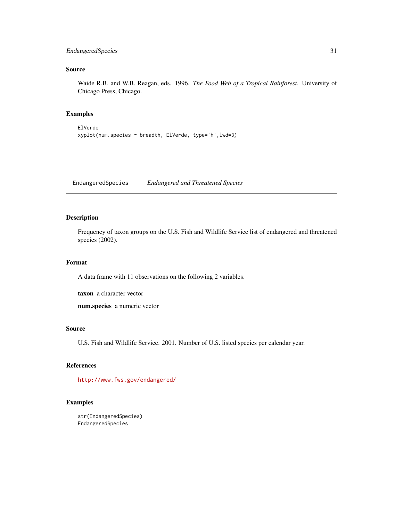## <span id="page-30-0"></span>EndangeredSpecies 31

## Source

Waide R.B. and W.B. Reagan, eds. 1996. *The Food Web of a Tropical Rainforest*. University of Chicago Press, Chicago.

## Examples

ElVerde xyplot(num.species ~ breadth, ElVerde, type='h',lwd=3)

EndangeredSpecies *Endangered and Threatened Species*

## Description

Frequency of taxon groups on the U.S. Fish and Wildlife Service list of endangered and threatened species (2002).

#### Format

A data frame with 11 observations on the following 2 variables.

taxon a character vector

num.species a numeric vector

#### Source

U.S. Fish and Wildlife Service. 2001. Number of U.S. listed species per calendar year.

## References

<http://www.fws.gov/endangered/>

```
str(EndangeredSpecies)
EndangeredSpecies
```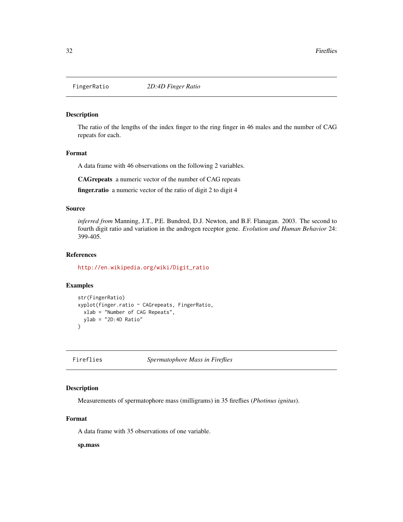<span id="page-31-0"></span>

The ratio of the lengths of the index finger to the ring finger in 46 males and the number of CAG repeats for each.

#### Format

A data frame with 46 observations on the following 2 variables.

CAGrepeats a numeric vector of the number of CAG repeats

finger.ratio a numeric vector of the ratio of digit 2 to digit 4

#### Source

*inferred from* Manning, J.T., P.E. Bundred, D.J. Newton, and B.F. Flanagan. 2003. The second to fourth digit ratio and variation in the androgen receptor gene. *Evolution and Human Behavior* 24: 399-405.

## References

[http://en.wikipedia.org/wiki/Digit\\_ratio](http://en.wikipedia.org/wiki/Digit_ratio)

#### Examples

```
str(FingerRatio)
xyplot(finger.ratio ~ CAGrepeats, FingerRatio,
 xlab = "Number of CAG Repeats",
 ylab = "2D:4D Ratio"
)
```
Fireflies *Spermatophore Mass in Fireflies*

## Description

Measurements of spermatophore mass (milligrams) in 35 fireflies (*Photinus ignitus*).

## Format

A data frame with 35 observations of one variable.

sp.mass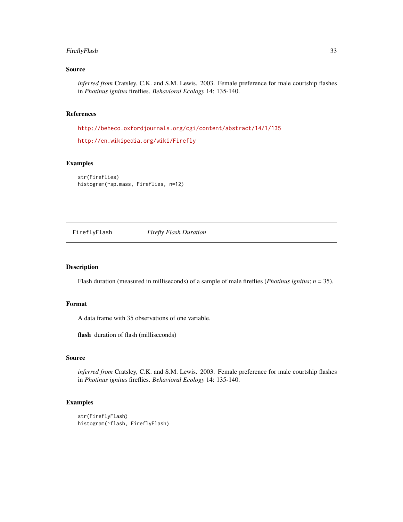## <span id="page-32-0"></span>FireflyFlash 33

## Source

*inferred from* Cratsley, C.K. and S.M. Lewis. 2003. Female preference for male courtship flashes in *Photinus ignitus* fireflies. *Behavioral Ecology* 14: 135-140.

## References

<http://beheco.oxfordjournals.org/cgi/content/abstract/14/1/135>

<http://en.wikipedia.org/wiki/Firefly>

## Examples

str(Fireflies) histogram(~sp.mass, Fireflies, n=12)

FireflyFlash *Firefly Flash Duration*

#### Description

Flash duration (measured in milliseconds) of a sample of male fireflies (*Photinus ignitus*; *n* = 35).

## Format

A data frame with 35 observations of one variable.

flash duration of flash (milliseconds)

#### Source

*inferred from* Cratsley, C.K. and S.M. Lewis. 2003. Female preference for male courtship flashes in *Photinus ignitus* fireflies. *Behavioral Ecology* 14: 135-140.

```
str(FireflyFlash)
histogram(~flash, FireflyFlash)
```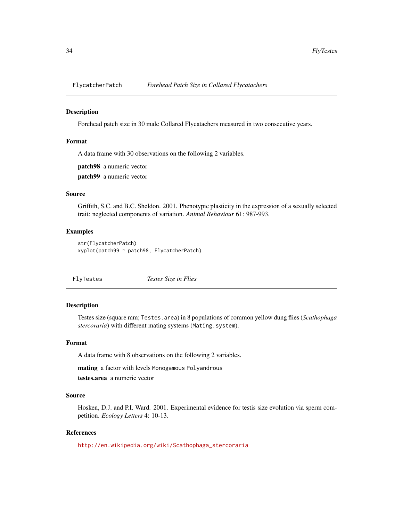<span id="page-33-0"></span>

Forehead patch size in 30 male Collared Flycatachers measured in two consecutive years.

## Format

A data frame with 30 observations on the following 2 variables.

patch98 a numeric vector

patch99 a numeric vector

#### Source

Griffith, S.C. and B.C. Sheldon. 2001. Phenotypic plasticity in the expression of a sexually selected trait: neglected components of variation. *Animal Behaviour* 61: 987-993.

#### Examples

```
str(FlycatcherPatch)
xyplot(patch99 ~ patch98, FlycatcherPatch)
```
FlyTestes *Testes Size in Flies*

## Description

Testes size (square mm; Testes.area) in 8 populations of common yellow dung flies (*Scathophaga stercoraria*) with different mating systems (Mating.system).

#### Format

A data frame with 8 observations on the following 2 variables.

mating a factor with levels Monogamous Polyandrous

testes.area a numeric vector

## Source

Hosken, D.J. and P.I. Ward. 2001. Experimental evidence for testis size evolution via sperm competition. *Ecology Letters* 4: 10-13.

#### References

[http://en.wikipedia.org/wiki/Scathophaga\\_stercoraria](http://en.wikipedia.org/wiki/Scathophaga_stercoraria)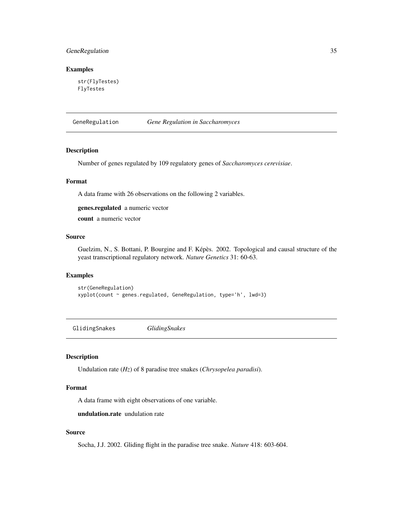## <span id="page-34-0"></span>GeneRegulation 35

## Examples

str(FlyTestes) FlyTestes

GeneRegulation *Gene Regulation in Saccharomyces*

## Description

Number of genes regulated by 109 regulatory genes of *Saccharomyces cerevisiae*.

## Format

A data frame with 26 observations on the following 2 variables.

genes.regulated a numeric vector

count a numeric vector

#### Source

Guelzim, N., S. Bottani, P. Bourgine and F. Képès. 2002. Topological and causal structure of the yeast transcriptional regulatory network. *Nature Genetics* 31: 60-63.

## Examples

```
str(GeneRegulation)
xyplot(count ~ genes.regulated, GeneRegulation, type='h', lwd=3)
```
GlidingSnakes *GlidingSnakes*

#### Description

Undulation rate (*Hz*) of 8 paradise tree snakes (*Chrysopelea paradisi*).

## Format

A data frame with eight observations of one variable.

undulation.rate undulation rate

## Source

Socha, J.J. 2002. Gliding flight in the paradise tree snake. *Nature* 418: 603-604.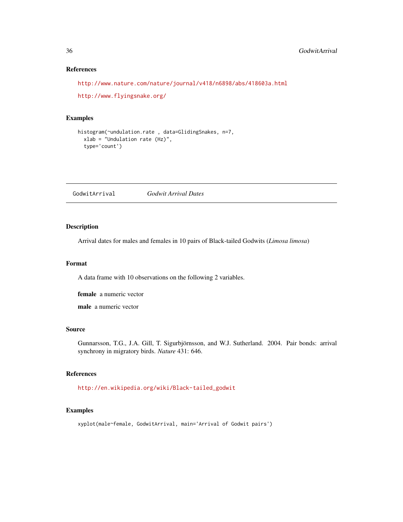## References

```
http://www.nature.com/nature/journal/v418/n6898/abs/418603a.html
```
<http://www.flyingsnake.org/>

#### Examples

```
histogram(~undulation.rate , data=GlidingSnakes, n=7,
  xlab = "Undulation rate (Hz)",
  type='count')
```
GodwitArrival *Godwit Arrival Dates*

## Description

Arrival dates for males and females in 10 pairs of Black-tailed Godwits (*Limosa limosa*)

## Format

A data frame with 10 observations on the following 2 variables.

female a numeric vector

male a numeric vector

#### Source

Gunnarsson, T.G., J.A. Gill, T. Sigurbjörnsson, and W.J. Sutherland. 2004. Pair bonds: arrival synchrony in migratory birds. *Nature* 431: 646.

## References

[http://en.wikipedia.org/wiki/Black-tailed\\_godwit](http://en.wikipedia.org/wiki/Black-tailed_godwit)

## Examples

xyplot(male~female, GodwitArrival, main='Arrival of Godwit pairs')

<span id="page-35-0"></span>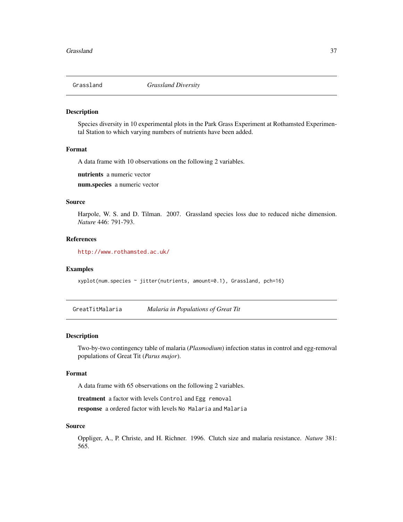Species diversity in 10 experimental plots in the Park Grass Experiment at Rothamsted Experimental Station to which varying numbers of nutrients have been added.

#### Format

A data frame with 10 observations on the following 2 variables.

nutrients a numeric vector

num.species a numeric vector

## Source

Harpole, W. S. and D. Tilman. 2007. Grassland species loss due to reduced niche dimension. *Nature* 446: 791-793.

## References

<http://www.rothamsted.ac.uk/>

## Examples

xyplot(num.species ~ jitter(nutrients, amount=0.1), Grassland, pch=16)

GreatTitMalaria *Malaria in Populations of Great Tit*

# Description

Two-by-two contingency table of malaria (*Plasmodium*) infection status in control and egg-removal populations of Great Tit (*Parus major*).

## Format

A data frame with 65 observations on the following 2 variables.

treatment a factor with levels Control and Egg removal

response a ordered factor with levels No Malaria and Malaria

#### Source

Oppliger, A., P. Christe, and H. Richner. 1996. Clutch size and malaria resistance. *Nature* 381: 565.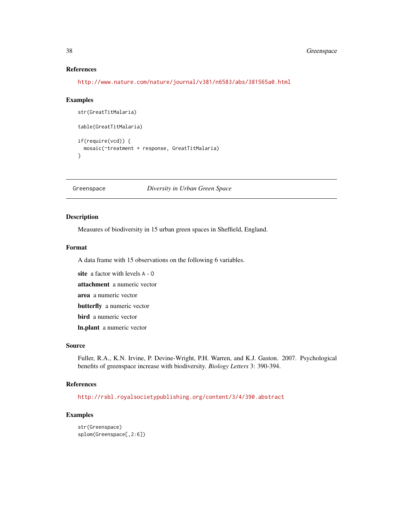# References

<http://www.nature.com/nature/journal/v381/n6583/abs/381565a0.html>

### Examples

```
str(GreatTitMalaria)
table(GreatTitMalaria)
if(require(vcd)) {
 mosaic(~treatment + response, GreatTitMalaria)
}
```
Greenspace *Diversity in Urban Green Space*

# Description

Measures of biodiversity in 15 urban green spaces in Sheffield, England.

### Format

A data frame with 15 observations on the following 6 variables.

site a factor with levels A - O

attachment a numeric vector

area a numeric vector

butterfly a numeric vector

bird a numeric vector

ln.plant a numeric vector

## Source

Fuller, R.A., K.N. Irvine, P. Devine-Wright, P.H. Warren, and K.J. Gaston. 2007. Psychological benefits of greenspace increase with biodiversity. *Biology Letters* 3: 390-394.

#### References

<http://rsbl.royalsocietypublishing.org/content/3/4/390.abstract>

```
str(Greenspace)
splom(Greenspace[,2:6])
```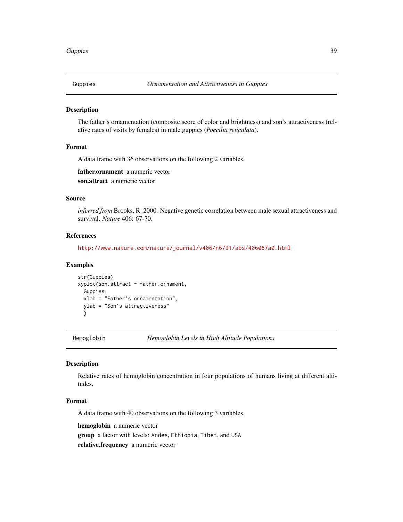The father's ornamentation (composite score of color and brightness) and son's attractiveness (relative rates of visits by females) in male guppies (*Poecilia reticulata*).

#### Format

A data frame with 36 observations on the following 2 variables.

father.ornament a numeric vector

son.attract a numeric vector

## Source

*inferred from* Brooks, R. 2000. Negative genetic correlation between male sexual attractiveness and survival. *Nature* 406: 67-70.

# References

<http://www.nature.com/nature/journal/v406/n6791/abs/406067a0.html>

# Examples

```
str(Guppies)
xyplot(son.attract ~ father.ornament,
 Guppies,
 xlab = "Father's ornamentation",
 ylab = "Son's attractiveness"
 )
```
Hemoglobin *Hemoglobin Levels in High Altitude Populations*

#### Description

Relative rates of hemoglobin concentration in four populations of humans living at different altitudes.

#### Format

A data frame with 40 observations on the following 3 variables.

hemoglobin a numeric vector

group a factor with levels: Andes, Ethiopia, Tibet, and USA

relative.frequency a numeric vector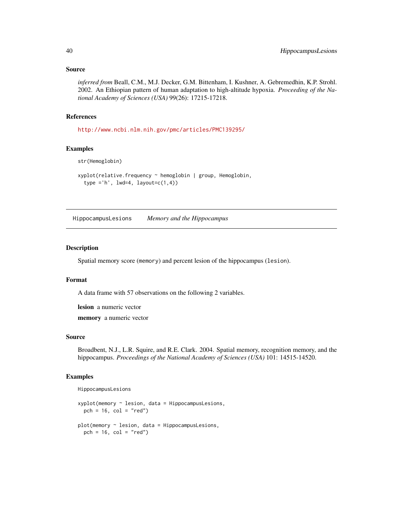*inferred from* Beall, C.M., M.J. Decker, G.M. Bittenham, I. Kushner, A. Gebremedhin, K.P. Strohl. 2002. An Ethiopian pattern of human adaptation to high-altitude hypoxia. *Proceeding of the National Academy of Sciences (USA)* 99(26): 17215-17218.

# References

<http://www.ncbi.nlm.nih.gov/pmc/articles/PMC139295/>

# Examples

str(Hemoglobin)

```
xyplot(relative.frequency ~ hemoglobin | group, Hemoglobin,
 type ='h', 1wd=4, 1ayout=c(1,4))
```
HippocampusLesions *Memory and the Hippocampus*

## Description

Spatial memory score (memory) and percent lesion of the hippocampus (lesion).

#### Format

A data frame with 57 observations on the following 2 variables.

lesion a numeric vector

memory a numeric vector

## Source

Broadbent, N.J., L.R. Squire, and R.E. Clark. 2004. Spatial memory, recognition memory, and the hippocampus. *Proceedings of the National Academy of Sciences (USA)* 101: 14515-14520.

```
HippocampusLesions
```

```
xyplot(memory ~ lesion, data = HippocampusLesions,pch = 16, col = "red")
plot(memory ~ lesion, data = HippocampusLesions,
 pch = 16, col = "red")
```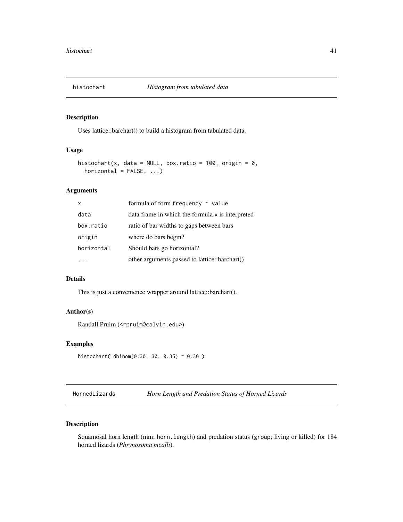Uses lattice::barchart() to build a histogram from tabulated data.

# Usage

```
histochart(x, data = NULL, box.ratio = 100, origin = 0,
 horizontal = FALSE, ...)
```
# Arguments

| X          | formula of form frequency $\sim$ value           |
|------------|--------------------------------------------------|
| data       | data frame in which the formula x is interpreted |
| box.ratio  | ratio of bar widths to gaps between bars         |
| origin     | where do bars begin?                             |
| horizontal | Should bars go horizontal?                       |
|            | other arguments passed to lattice::barchart()    |

# Details

This is just a convenience wrapper around lattice::barchart().

# Author(s)

Randall Pruim (<rpruim@calvin.edu>)

# Examples

```
histochart( dbinom(0:30, 30, 0.35) ~ 0:30 )
```
HornedLizards *Horn Length and Predation Status of Horned Lizards*

# Description

Squamosal horn length (mm; horn.length) and predation status (group; living or killed) for 184 horned lizards (*Phrynosoma mcalli*).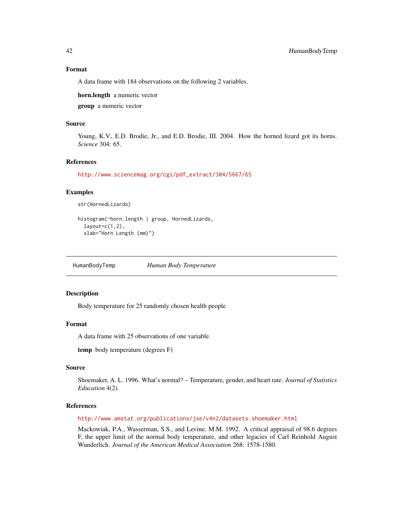## Format

A data frame with 184 observations on the following 2 variables.

horn.length a numeric vector

group a numeric vector

# Source

Young, K.V., E.D. Brodie, Jr., and E.D. Brodie, III. 2004. How the horned lizard got its horns. *Science* 304: 65.

## References

[http://www.sciencemag.org/cgi/pdf\\_extract/304/5667/65](http://www.sciencemag.org/cgi/pdf_extract/304/5667/65)

# Examples

```
str(HornedLizards)
```

```
histogram(~horn.length | group, HornedLizards,
 layout=c(1,2),
 xlab="Horn Length (mm)")
```
HumanBodyTemp *Human Body Temperature*

## Description

Body temperature for 25 randomly chosen health people

# Format

A data frame with 25 observations of one variable.

temp body temperature (degrees F)

#### Source

Shoemaker, A. L. 1996. What's normal? – Temperature, gender, and heart rate. *Journal of Statistics Education* 4(2).

# References

<http://www.amstat.org/publications/jse/v4n2/datasets.shoemaker.html>

Mackowiak, P.A., Wasserman, S.S., and Levine, M.M. 1992. A critical appraisal of 98.6 degrees F, the upper limit of the normal body temperature, and other legacies of Carl Reinhold August Wunderlich. *Journal of the American Medical Association* 268: 1578-1580.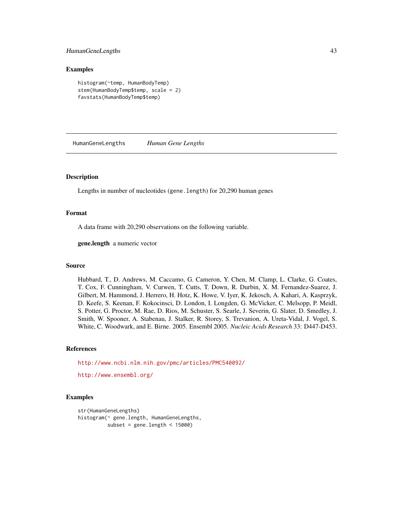# HumanGeneLengths 43

#### Examples

```
histogram(~temp, HumanBodyTemp)
stem(HumanBodyTemp$temp, scale = 2)
favstats(HumanBodyTemp$temp)
```
HumanGeneLengths *Human Gene Lengths*

#### Description

Lengths in number of nucleotides (gene.length) for 20,290 human genes

# Format

A data frame with 20,290 observations on the following variable.

gene.length a numeric vector

#### Source

Hubbard, T., D. Andrews, M. Caccamo, G. Cameron, Y. Chen, M. Clamp, L. Clarke, G. Coates, T. Cox, F. Cunningham, V. Curwen, T. Cutts, T. Down, R. Durbin, X. M. Fernandez-Suarez, J. Gilbert, M. Hammond, J. Herrero, H. Hotz, K. Howe, V. Iyer, K. Jekosch, A. Kahari, A. Kasprzyk, D. Keefe, S. Keenan, F. Kokocinsci, D. London, I. Longden, G. McVicker, C. Melsopp, P. Meidl, S. Potter, G. Proctor, M. Rae, D. Rios, M. Schuster, S. Searle, J. Severin, G. Slater, D. Smedley, J. Smith, W. Spooner, A. Stabenau, J. Stalker, R. Storey, S. Trevanion, A. Ureta-Vidal, J. Vogel, S. White, C. Woodwark, and E. Birne. 2005. Ensembl 2005. *Nucleic Acids Research* 33: D447-D453.

## References

<http://www.ncbi.nlm.nih.gov/pmc/articles/PMC540092/>

<http://www.ensembl.org/>

```
str(HumanGeneLengths)
histogram(~ gene.length, HumanGeneLengths,
          subset = gene.length < 15000)
```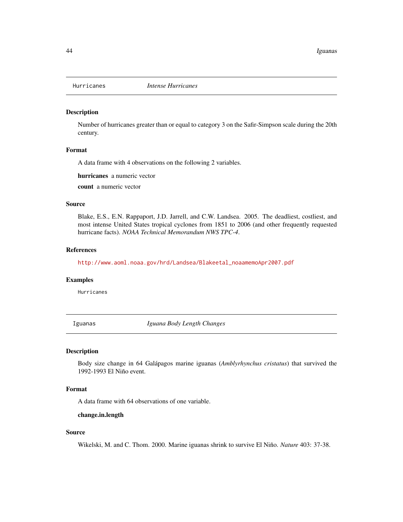Number of hurricanes greater than or equal to category 3 on the Safir-Simpson scale during the 20th century.

## Format

A data frame with 4 observations on the following 2 variables.

hurricanes a numeric vector

count a numeric vector

# Source

Blake, E.S., E.N. Rappaport, J.D. Jarrell, and C.W. Landsea. 2005. The deadliest, costliest, and most intense United States tropical cyclones from 1851 to 2006 (and other frequently requested hurricane facts). *NOAA Technical Memorandum NWS TPC-4*.

#### References

[http://www.aoml.noaa.gov/hrd/Landsea/Blakeetal\\_noaamemoApr2007.pdf](http://www.aoml.noaa.gov/hrd/Landsea/Blakeetal_noaamemoApr2007.pdf)

#### Examples

Hurricanes

Iguanas *Iguana Body Length Changes*

## Description

Body size change in 64 Galápagos marine iguanas (*Amblyrhynchus cristatus*) that survived the 1992-1993 El Niño event.

#### Format

A data frame with 64 observations of one variable.

#### change.in.length

#### Source

Wikelski, M. and C. Thom. 2000. Marine iguanas shrink to survive El Niño. *Nature* 403: 37-38.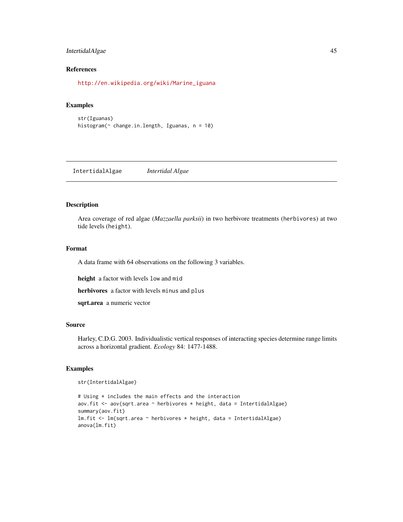# IntertidalAlgae 45

# References

[http://en.wikipedia.org/wiki/Marine\\_iguana](http://en.wikipedia.org/wiki/Marine_iguana)

# Examples

```
str(Iguanas)
histogram(~ change.in.length, Iguanas, n = 10)
```
IntertidalAlgae *Intertidal Algae*

## Description

Area coverage of red algae (*Mazzaella parksii*) in two herbivore treatments (herbivores) at two tide levels (height).

## Format

A data frame with 64 observations on the following 3 variables.

height a factor with levels low and mid

herbivores a factor with levels minus and plus

sqrt.area a numeric vector

#### Source

Harley, C.D.G. 2003. Individualistic vertical responses of interacting species determine range limits across a horizontal gradient. *Ecology* 84: 1477-1488.

# Examples

str(IntertidalAlgae)

```
# Using * includes the main effects and the interaction
aov.fit <- aov(sqrt.area ~ herbivores * height, data = IntertidalAlgae)
summary(aov.fit)
lm.fit <- lm(sqrt.area ~ herbivores * height, data = IntertidalAlgae)
anova(lm.fit)
```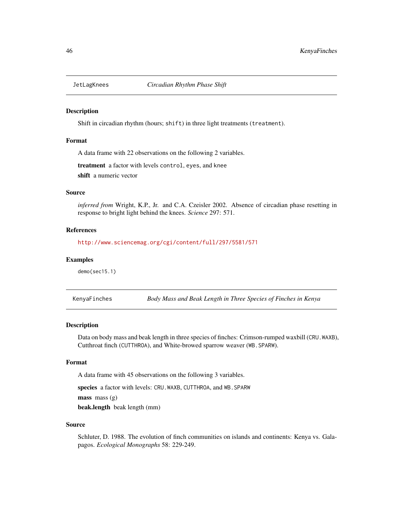Shift in circadian rhythm (hours; shift) in three light treatments (treatment).

#### Format

A data frame with 22 observations on the following 2 variables.

treatment a factor with levels control, eyes, and knee shift a numeric vector

#### Source

*inferred from* Wright, K.P., Jr. and C.A. Czeisler 2002. Absence of circadian phase resetting in response to bright light behind the knees. *Science* 297: 571.

# References

<http://www.sciencemag.org/cgi/content/full/297/5581/571>

#### Examples

demo(sec15.1)

KenyaFinches *Body Mass and Beak Length in Three Species of Finches in Kenya*

#### Description

Data on body mass and beak length in three species of finches: Crimson-rumped waxbill (CRU.WAXB), Cutthroat finch (CUTTHROA), and White-browed sparrow weaver (WB.SPARW).

# Format

A data frame with 45 observations on the following 3 variables.

species a factor with levels: CRU.WAXB, CUTTHROA, and WB.SPARW

 $mass$  mass  $(g)$ 

beak.length beak length (mm)

#### Source

Schluter, D. 1988. The evolution of finch communities on islands and continents: Kenya vs. Galapagos. *Ecological Monographs* 58: 229-249.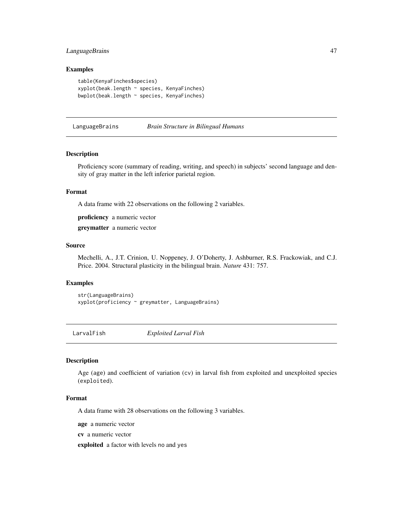# LanguageBrains 47

## Examples

```
table(KenyaFinches$species)
xyplot(beak.length ~ species, KenyaFinches)
bwplot(beak.length ~ species, KenyaFinches)
```
#### LanguageBrains *Brain Structure in Bilingual Humans*

## Description

Proficiency score (summary of reading, writing, and speech) in subjects' second language and density of gray matter in the left inferior parietal region.

# Format

A data frame with 22 observations on the following 2 variables.

proficiency a numeric vector

greymatter a numeric vector

#### Source

Mechelli, A., J.T. Crinion, U. Noppeney, J. O'Doherty, J. Ashburner, R.S. Frackowiak, and C.J. Price. 2004. Structural plasticity in the bilingual brain. *Nature* 431: 757.

## Examples

str(LanguageBrains) xyplot(proficiency ~ greymatter, LanguageBrains)

LarvalFish *Exploited Larval Fish*

#### Description

Age (age) and coefficient of variation (cv) in larval fish from exploited and unexploited species (exploited).

#### Format

A data frame with 28 observations on the following 3 variables.

age a numeric vector

cv a numeric vector

exploited a factor with levels no and yes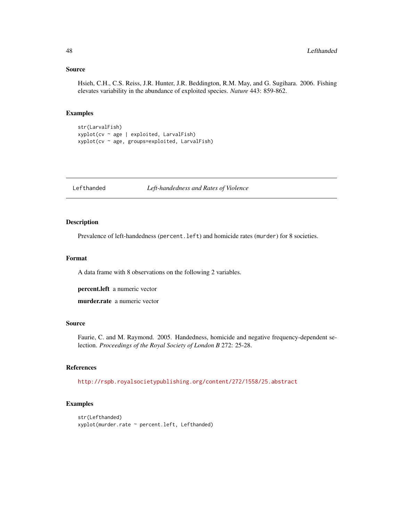Hsieh, C.H., C.S. Reiss, J.R. Hunter, J.R. Beddington, R.M. May, and G. Sugihara. 2006. Fishing elevates variability in the abundance of exploited species. *Nature* 443: 859-862.

# Examples

```
str(LarvalFish)
xyplot(cv ~ age | exploited, LarvalFish)
xyplot(cv ~ age, groups=exploited, LarvalFish)
```
Lefthanded *Left-handedness and Rates of Violence*

# Description

Prevalence of left-handedness (percent.left) and homicide rates (murder) for 8 societies.

## Format

A data frame with 8 observations on the following 2 variables.

percent.left a numeric vector

murder.rate a numeric vector

# Source

Faurie, C. and M. Raymond. 2005. Handedness, homicide and negative frequency-dependent selection. *Proceedings of the Royal Society of London B* 272: 25-28.

## References

<http://rspb.royalsocietypublishing.org/content/272/1558/25.abstract>

```
str(Lefthanded)
xyplot(murder.rate ~ percent.left, Lefthanded)
```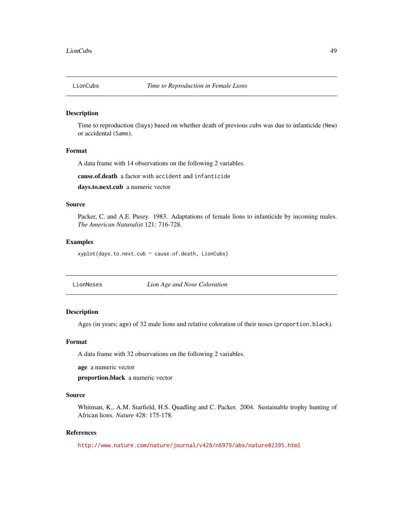Time to reproduction (Days) based on whether death of previous cubs was due to infanticide (New) or accidental (Same).

#### Format

A data frame with 14 observations on the following 2 variables.

cause.of.death a factor with accident and infanticide

days.to.next.cub a numeric vector

#### Source

Packer, C. and A.E. Pusey. 1983. Adaptations of female lions to infanticide by incoming males. *The American Naturalist* 121: 716-728.

#### Examples

xyplot(days.to.next.cub ~ cause.of.death, LionCubs)

LionNoses *Lion Age and Nose Coloration*

## Description

Ages (in years; age) of 32 male lions and relative coloration of their noses (proportion.black).

## Format

A data frame with 32 observations on the following 2 variables.

age a numeric vector

proportion.black a numeric vector

# Source

Whitman, K., A.M. Starfield, H.S. Quadling and C. Packer. 2004. Sustainable trophy hunting of African lions. *Nature* 428: 175-178.

#### References

<http://www.nature.com/nature/journal/v428/n6979/abs/nature02395.html>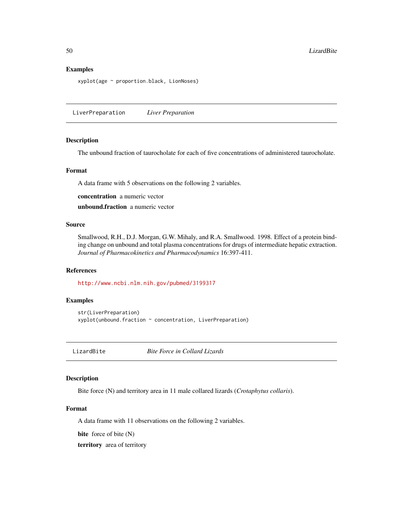#### Examples

xyplot(age ~ proportion.black, LionNoses)

LiverPreparation *Liver Preparation*

# Description

The unbound fraction of taurocholate for each of five concentrations of administered taurocholate.

# Format

A data frame with 5 observations on the following 2 variables.

concentration a numeric vector

unbound.fraction a numeric vector

# Source

Smallwood, R.H., D.J. Morgan, G.W. Mihaly, and R.A. Smallwood. 1998. Effect of a protein binding change on unbound and total plasma concentrations for drugs of intermediate hepatic extraction. *Journal of Pharmacokinetics and Pharmacodynamics* 16:397-411.

# References

<http://www.ncbi.nlm.nih.gov/pubmed/3199317>

# Examples

str(LiverPreparation) xyplot(unbound.fraction ~ concentration, LiverPreparation)

LizardBite *Bite Force in Collard Lizards*

## Description

Bite force (N) and territory area in 11 male collared lizards (*Crotaphytus collaris*).

#### Format

A data frame with 11 observations on the following 2 variables.

bite force of bite (N)

territory area of territory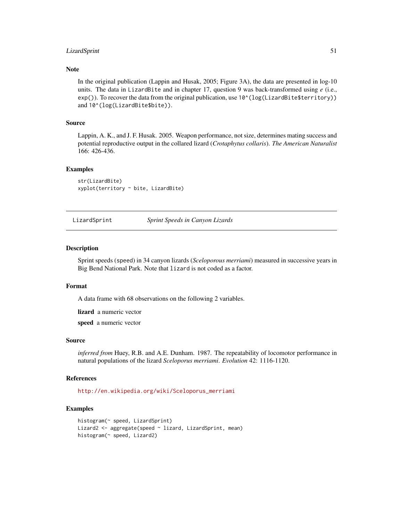# LizardSprint 51

## Note

In the original publication (Lappin and Husak, 2005; Figure 3A), the data are presented in log-10 units. The data in LizardBite and in chapter 17, question 9 was back-transformed using *e* (i.e.,  $exp()$ ). To recover the data from the original publication, use  $10^{\circ}(\log(LizardBite5territory))$ and  $10^(log(LizardBite$bite)).$ 

## Source

Lappin, A. K., and J. F. Husak. 2005. Weapon performance, not size, determines mating success and potential reproductive output in the collared lizard (*Crotaphytus collaris*). *The American Naturalist* 166: 426-436.

#### Examples

str(LizardBite) xyplot(territory ~ bite, LizardBite)

LizardSprint *Sprint Speeds in Canyon Lizards*

#### Description

Sprint speeds (speed) in 34 canyon lizards (*Sceloporous merriami*) measured in successive years in Big Bend National Park. Note that lizard is not coded as a factor.

#### Format

A data frame with 68 observations on the following 2 variables.

lizard a numeric vector

speed a numeric vector

#### Source

*inferred from* Huey, R.B. and A.E. Dunham. 1987. The repeatability of locomotor performance in natural populations of the lizard *Sceloporus merriami*. *Evolution* 42: 1116-1120.

#### References

[http://en.wikipedia.org/wiki/Sceloporus\\_merriami](http://en.wikipedia.org/wiki/Sceloporus_merriami)

```
histogram(~ speed, LizardSprint)
Lizard2 <- aggregate(speed ~ lizard, LizardSprint, mean)
histogram(~ speed, Lizard2)
```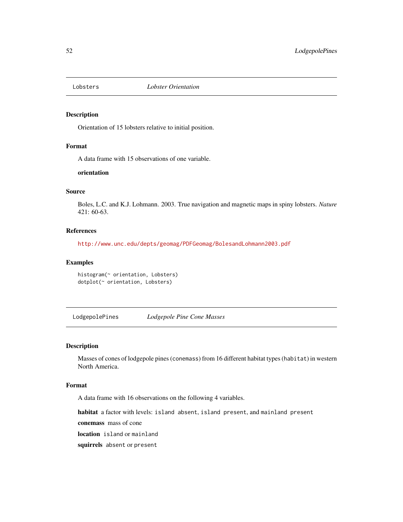Orientation of 15 lobsters relative to initial position.

## Format

A data frame with 15 observations of one variable.

# orientation

# Source

Boles, L.C. and K.J. Lohmann. 2003. True navigation and magnetic maps in spiny lobsters. *Nature* 421: 60-63.

#### References

<http://www.unc.edu/depts/geomag/PDFGeomag/BolesandLohmann2003.pdf>

# Examples

```
histogram(~ orientation, Lobsters)
dotplot(~ orientation, Lobsters)
```
LodgepolePines *Lodgepole Pine Cone Masses*

#### Description

Masses of cones of lodgepole pines (conemass) from 16 different habitat types (habitat) in western North America.

# Format

A data frame with 16 observations on the following 4 variables.

habitat a factor with levels: island absent, island present, and mainland present

conemass mass of cone

location island or mainland

squirrels absent or present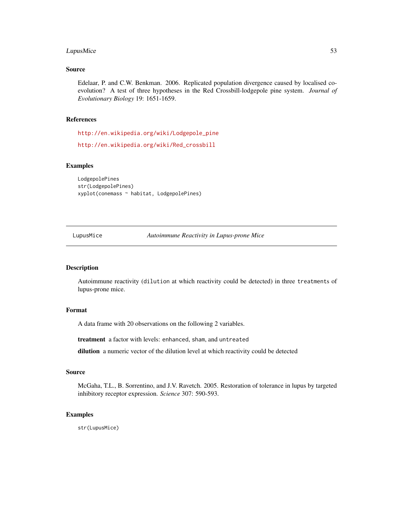# LupusMice 53

#### Source

Edelaar, P. and C.W. Benkman. 2006. Replicated population divergence caused by localised coevolution? A test of three hypotheses in the Red Crossbill-lodgepole pine system. *Journal of Evolutionary Biology* 19: 1651-1659.

# References

[http://en.wikipedia.org/wiki/Lodgepole\\_pine](http://en.wikipedia.org/wiki/Lodgepole_pine)

[http://en.wikipedia.org/wiki/Red\\_crossbill](http://en.wikipedia.org/wiki/Red_crossbill)

## Examples

```
LodgepolePines
str(LodgepolePines)
xyplot(conemass ~ habitat, LodgepolePines)
```
LupusMice *Autoimmune Reactivity in Lupus-prone Mice*

# Description

Autoimmune reactivity (dilution at which reactivity could be detected) in three treatments of lupus-prone mice.

# Format

A data frame with 20 observations on the following 2 variables.

treatment a factor with levels: enhanced, sham, and untreated

dilution a numeric vector of the dilution level at which reactivity could be detected

#### Source

McGaha, T.L., B. Sorrentino, and J.V. Ravetch. 2005. Restoration of tolerance in lupus by targeted inhibitory receptor expression. *Science* 307: 590-593.

#### Examples

str(LupusMice)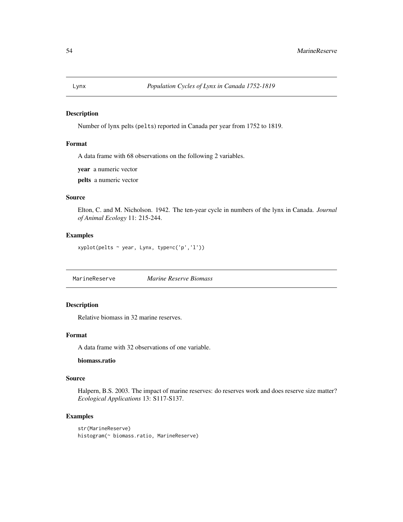Number of lynx pelts (pelts) reported in Canada per year from 1752 to 1819.

## Format

A data frame with 68 observations on the following 2 variables.

year a numeric vector

pelts a numeric vector

# Source

Elton, C. and M. Nicholson. 1942. The ten-year cycle in numbers of the lynx in Canada. *Journal of Animal Ecology* 11: 215-244.

# Examples

xyplot(pelts ~ year, Lynx, type=c('p','l'))

MarineReserve *Marine Reserve Biomass*

# Description

Relative biomass in 32 marine reserves.

## Format

A data frame with 32 observations of one variable.

# biomass.ratio

# Source

Halpern, B.S. 2003. The impact of marine reserves: do reserves work and does reserve size matter? *Ecological Applications* 13: S117-S137.

```
str(MarineReserve)
histogram(~ biomass.ratio, MarineReserve)
```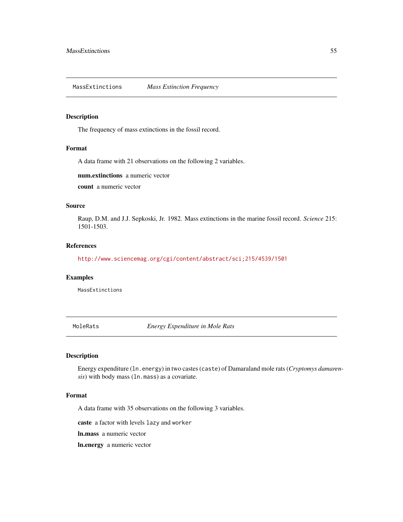MassExtinctions *Mass Extinction Frequency*

# Description

The frequency of mass extinctions in the fossil record.

# Format

A data frame with 21 observations on the following 2 variables.

num.extinctions a numeric vector

count a numeric vector

# Source

Raup, D.M. and J.J. Sepkoski, Jr. 1982. Mass extinctions in the marine fossil record. *Science* 215: 1501-1503.

#### References

<http://www.sciencemag.org/cgi/content/abstract/sci;215/4539/1501>

## Examples

MassExtinctions

MoleRats *Energy Expenditure in Mole Rats*

# Description

Energy expenditure (ln.energy) in two castes (caste) of Damaraland mole rats (*Cryptomys damarensis*) with body mass (ln.mass) as a covariate.

# Format

A data frame with 35 observations on the following 3 variables.

caste a factor with levels lazy and worker

ln.mass a numeric vector

ln.energy a numeric vector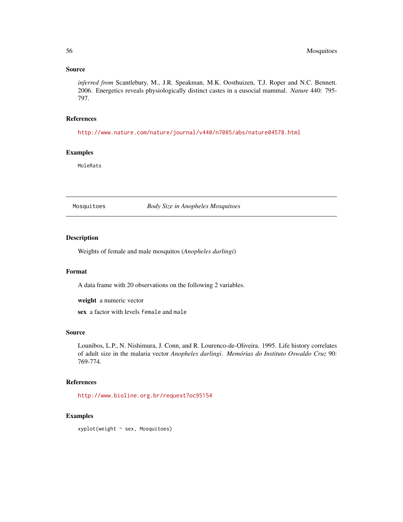*inferred from* Scantlebury, M., J.R. Speakman, M.K. Oosthuizen, T.J. Roper and N.C. Bennett. 2006. Energetics reveals physiologically distinct castes in a eusocial mammal. *Nature* 440: 795- 797.

# References

<http://www.nature.com/nature/journal/v440/n7085/abs/nature04578.html>

## Examples

MoleRats

Mosquitoes *Body Size in Anopheles Mosquitoes*

#### Description

Weights of female and male mosquitos (*Anopheles darlingi*)

#### Format

A data frame with 20 observations on the following 2 variables.

weight a numeric vector

sex a factor with levels female and male

#### Source

Lounibos, L.P., N. Nishimura, J. Conn, and R. Lourenco-de-Oliveira. 1995. Life history correlates of adult size in the malaria vector *Anopheles darlingi*. *Memórias do Instituto Oswaldo Cruz* 90: 769-774.

# References

<http://www.bioline.org.br/request?oc95154>

#### Examples

xyplot(weight ~ sex, Mosquitoes)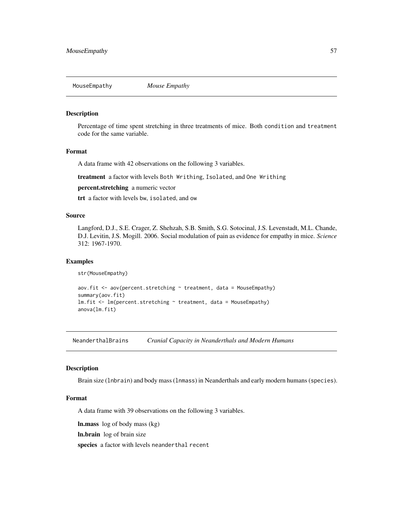Percentage of time spent stretching in three treatments of mice. Both condition and treatment code for the same variable.

## Format

A data frame with 42 observations on the following 3 variables.

treatment a factor with levels Both Writhing, Isolated, and One Writhing

percent.stretching a numeric vector

trt a factor with levels bw, isolated, and ow

## Source

Langford, D.J., S.E. Crager, Z. Shehzah, S.B. Smith, S.G. Sotocinal, J.S. Levenstadt, M.L. Chande, D.J. Levitin, J.S. Mogill. 2006. Social modulation of pain as evidence for empathy in mice. *Science* 312: 1967-1970.

## Examples

str(MouseEmpathy)

 $aov.fit \leftarrow av(percent.stretching \sim treatment, data = MouseEmpathy)$ summary(aov.fit)  $lm.fit < - lm(percent.stretching ~ treatment, data = MouseEmpathy)$ anova(lm.fit)

NeanderthalBrains *Cranial Capacity in Neanderthals and Modern Humans*

#### Description

Brain size (lnbrain) and body mass (lnmass) in Neanderthals and early modern humans (species).

#### Format

A data frame with 39 observations on the following 3 variables.

ln.mass log of body mass (kg)

ln.brain log of brain size

species a factor with levels neanderthal recent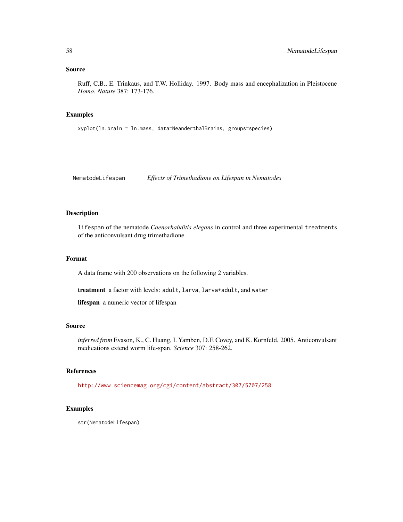Ruff, C.B., E. Trinkaus, and T.W. Holliday. 1997. Body mass and encephalization in Pleistocene *Homo*. *Nature* 387: 173-176.

## Examples

xyplot(ln.brain ~ ln.mass, data=NeanderthalBrains, groups=species)

NematodeLifespan *Effects of Trimethadione on Lifespan in Nematodes*

# Description

lifespan of the nematode *Caenorhabditis elegans* in control and three experimental treatments of the anticonvulsant drug trimethadione.

# Format

A data frame with 200 observations on the following 2 variables.

treatment a factor with levels: adult, larva, larva+adult, and water

lifespan a numeric vector of lifespan

# Source

*inferred from* Evason, K., C. Huang, I. Yamben, D.F. Covey, and K. Kornfeld. 2005. Anticonvulsant medications extend worm life-span. *Science* 307: 258-262.

## References

<http://www.sciencemag.org/cgi/content/abstract/307/5707/258>

#### Examples

str(NematodeLifespan)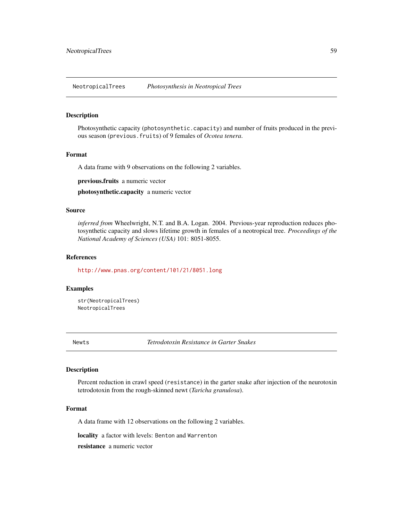NeotropicalTrees *Photosynthesis in Neotropical Trees*

# Description

Photosynthetic capacity (photosynthetic.capacity) and number of fruits produced in the previous season (previous.fruits) of 9 females of *Ocotea tenera*.

#### Format

A data frame with 9 observations on the following 2 variables.

previous.fruits a numeric vector

photosynthetic.capacity a numeric vector

## Source

*inferred from* Wheelwright, N.T. and B.A. Logan. 2004. Previous-year reproduction reduces photosynthetic capacity and slows lifetime growth in females of a neotropical tree. *Proceedings of the National Academy of Sciences (USA)* 101: 8051-8055.

#### References

<http://www.pnas.org/content/101/21/8051.long>

## Examples

str(NeotropicalTrees) NeotropicalTrees

Newts *Tetrodotoxin Resistance in Garter Snakes*

# Description

Percent reduction in crawl speed (resistance) in the garter snake after injection of the neurotoxin tetrodotoxin from the rough-skinned newt (*Taricha granulosa*).

#### Format

A data frame with 12 observations on the following 2 variables.

locality a factor with levels: Benton and Warrenton

resistance a numeric vector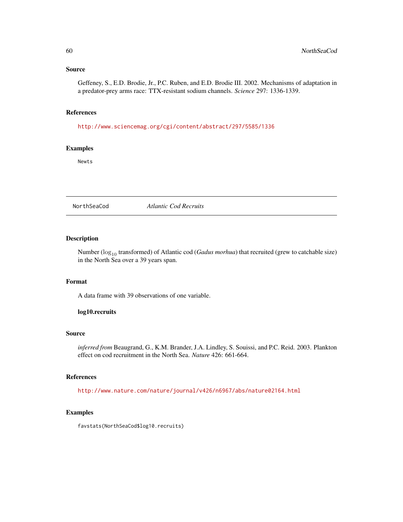Geffeney, S., E.D. Brodie, Jr., P.C. Ruben, and E.D. Brodie III. 2002. Mechanisms of adaptation in a predator-prey arms race: TTX-resistant sodium channels. *Science* 297: 1336-1339.

# References

<http://www.sciencemag.org/cgi/content/abstract/297/5585/1336>

# Examples

Newts

NorthSeaCod *Atlantic Cod Recruits*

# Description

Number ( $\log_{10}$  transformed) of Atlantic cod (*Gadus morhua*) that recruited (grew to catchable size) in the North Sea over a 39 years span.

#### Format

A data frame with 39 observations of one variable.

# log10.recruits

## Source

*inferred from* Beaugrand, G., K.M. Brander, J.A. Lindley, S. Souissi, and P.C. Reid. 2003. Plankton effect on cod recruitment in the North Sea. *Nature* 426: 661-664.

# References

<http://www.nature.com/nature/journal/v426/n6967/abs/nature02164.html>

# Examples

favstats(NorthSeaCod\$log10.recruits)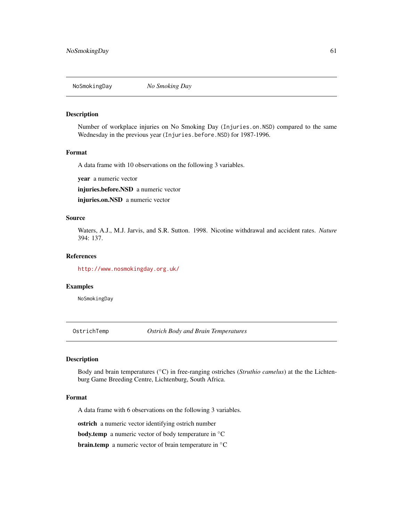Number of workplace injuries on No Smoking Day (Injuries.on.NSD) compared to the same Wednesday in the previous year (Injuries.before.NSD) for 1987-1996.

#### Format

A data frame with 10 observations on the following 3 variables.

year a numeric vector

injuries.before.NSD a numeric vector

injuries.on.NSD a numeric vector

# Source

Waters, A.J., M.J. Jarvis, and S.R. Sutton. 1998. Nicotine withdrawal and accident rates. *Nature* 394: 137.

#### References

<http://www.nosmokingday.org.uk/>

#### Examples

NoSmokingDay

OstrichTemp *Ostrich Body and Brain Temperatures*

## Description

Body and brain temperatures (◦C) in free-ranging ostriches (*Struthio camelus*) at the the Lichtenburg Game Breeding Centre, Lichtenburg, South Africa.

#### Format

A data frame with 6 observations on the following 3 variables.

ostrich a numeric vector identifying ostrich number

body.temp a numeric vector of body temperature in ◦C

**brain.temp** a numeric vector of brain temperature in <sup>○</sup>C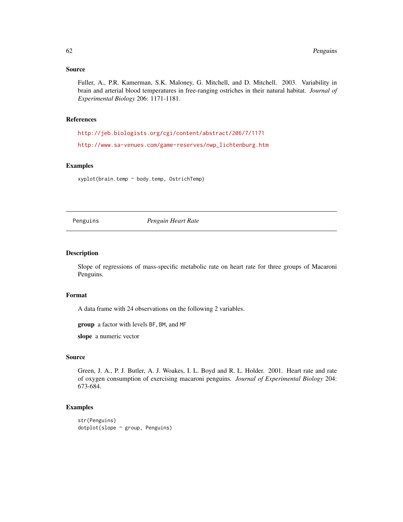Fuller, A., P.R. Kamerman, S.K. Maloney, G. Mitchell, and D. Mitchell. 2003. Variability in brain and arterial blood temperatures in free-ranging ostriches in their natural habitat. *Journal of Experimental Biology* 206: 1171-1181.

# References

<http://jeb.biologists.org/cgi/content/abstract/206/7/1171>

[http://www.sa-venues.com/game-reserves/nwp\\_lichtenburg.htm](http://www.sa-venues.com/game-reserves/nwp_lichtenburg.htm)

## Examples

xyplot(brain.temp ~ body.temp, OstrichTemp)

Penguins *Penguin Heart Rate*

## Description

Slope of regressions of mass-specific metabolic rate on heart rate for three groups of Macaroni Penguins.

#### Format

A data frame with 24 observations on the following 2 variables.

group a factor with levels BF, BM, and MF

slope a numeric vector

#### Source

Green, J. A., P. J. Butler, A. J. Woakes, I. L. Boyd and R. L. Holder. 2001. Heart rate and rate of oxygen consumption of exercising macaroni penguins. *Journal of Experimental Biology* 204: 673-684.

```
str(Penguins)
dotplot(slope ~ group, Penguins)
```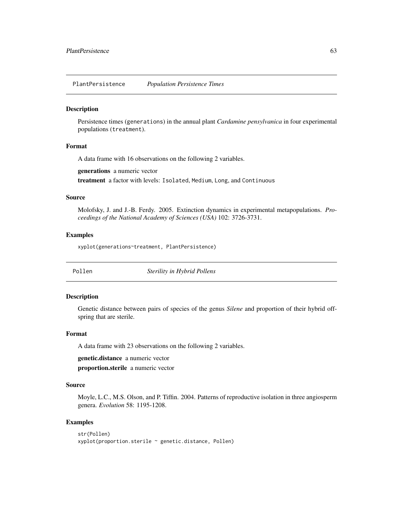PlantPersistence *Population Persistence Times*

## **Description**

Persistence times (generations) in the annual plant *Cardamine pensylvanica* in four experimental populations (treatment).

## Format

A data frame with 16 observations on the following 2 variables.

generations a numeric vector

treatment a factor with levels: Isolated, Medium, Long, and Continuous

#### Source

Molofsky, J. and J.-B. Ferdy. 2005. Extinction dynamics in experimental metapopulations. *Proceedings of the National Academy of Sciences (USA)* 102: 3726-3731.

### Examples

xyplot(generations~treatment, PlantPersistence)

Pollen *Sterility in Hybrid Pollens*

#### Description

Genetic distance between pairs of species of the genus *Silene* and proportion of their hybrid offspring that are sterile.

## Format

A data frame with 23 observations on the following 2 variables.

genetic.distance a numeric vector

proportion.sterile a numeric vector

# Source

Moyle, L.C., M.S. Olson, and P. Tiffin. 2004. Patterns of reproductive isolation in three angiosperm genera. *Evolution* 58: 1195-1208.

```
str(Pollen)
xyplot(proportion.sterile ~ genetic.distance, Pollen)
```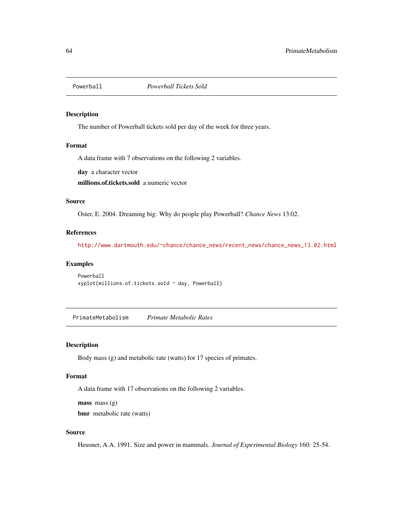The number of Powerball tickets sold per day of the week for three years.

# Format

A data frame with 7 observations on the following 2 variables.

day a character vector

millions.of.tickets.sold a numeric vector

#### Source

Oster, E. 2004. Dreaming big: Why do people play Powerball? *Chance News* 13.02.

#### References

[http://www.dartmouth.edu/~chance/chance\\_news/recent\\_news/chance\\_news\\_13.02.html](http://www.dartmouth.edu/~chance/chance_news/recent_news/chance_news_13.02.html)

## Examples

```
Powerball
xyplot(millions.of.tickets.sold ~ day, Powerball)
```
PrimateMetabolism *Primate Metabolic Rates*

# Description

Body mass (g) and metabolic rate (watts) for 17 species of primates.

#### Format

A data frame with 17 observations on the following 2 variables.

mass mass (g)

bmr metabolic rate (watts)

# Source

Heusner, A.A. 1991. Size and power in mammals. *Journal of Experimental Biology* 160: 25-54.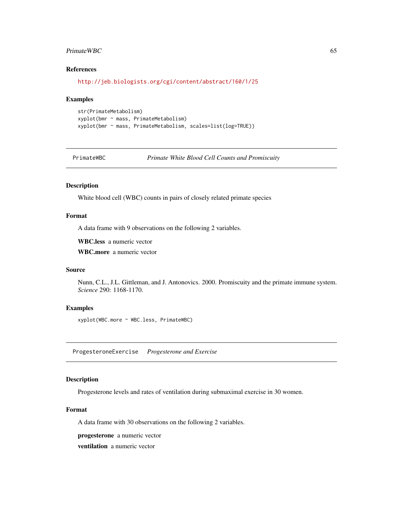#### PrimateWBC 65

# References

<http://jeb.biologists.org/cgi/content/abstract/160/1/25>

#### Examples

```
str(PrimateMetabolism)
xyplot(bmr ~ mass, PrimateMetabolism)
xyplot(bmr ~ mass, PrimateMetabolism, scales=list(log=TRUE))
```
PrimateWBC *Primate White Blood Cell Counts and Promiscuity*

# Description

White blood cell (WBC) counts in pairs of closely related primate species

## Format

A data frame with 9 observations on the following 2 variables.

WBC.less a numeric vector

WBC.more a numeric vector

#### Source

Nunn, C.L., J.L. Gittleman, and J. Antonovics. 2000. Promiscuity and the primate immune system. *Science* 290: 1168-1170.

# Examples

xyplot(WBC.more ~ WBC.less, PrimateWBC)

ProgesteroneExercise *Progesterone and Exercise*

#### Description

Progesterone levels and rates of ventilation during submaximal exercise in 30 women.

# Format

A data frame with 30 observations on the following 2 variables.

progesterone a numeric vector

ventilation a numeric vector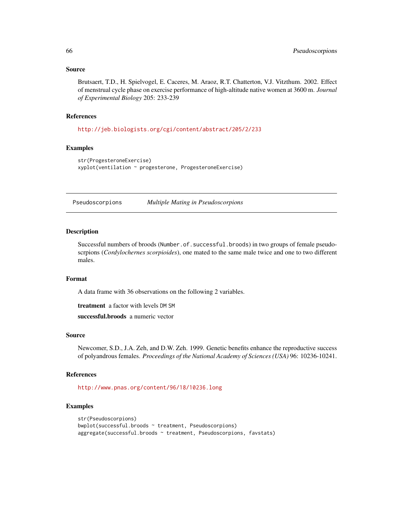Brutsaert, T.D., H. Spielvogel, E. Caceres, M. Araoz, R.T. Chatterton, V.J. Vitzthum. 2002. Effect of menstrual cycle phase on exercise performance of high-altitude native women at 3600 m. *Journal of Experimental Biology* 205: 233-239

### References

<http://jeb.biologists.org/cgi/content/abstract/205/2/233>

# Examples

```
str(ProgesteroneExercise)
xyplot(ventilation ~ progesterone, ProgesteroneExercise)
```
Pseudoscorpions *Multiple Mating in Pseudoscorpions*

# Description

Successful numbers of broods (Number.of.successful.broods) in two groups of female pseudoscrpions (*Cordylochernes scorpioides*), one mated to the same male twice and one to two different males.

# Format

A data frame with 36 observations on the following 2 variables.

treatment a factor with levels DM SM

successful.broods a numeric vector

# Source

Newcomer, S.D., J.A. Zeh, and D.W. Zeh. 1999. Genetic benefits enhance the reproductive success of polyandrous females. *Proceedings of the National Academy of Sciences (USA)* 96: 10236-10241.

## References

<http://www.pnas.org/content/96/18/10236.long>

```
str(Pseudoscorpions)
bwplot(successful.broods ~ treatment, Pseudoscorpions)
aggregate(successful.broods ~ treatment, Pseudoscorpions, favstats)
```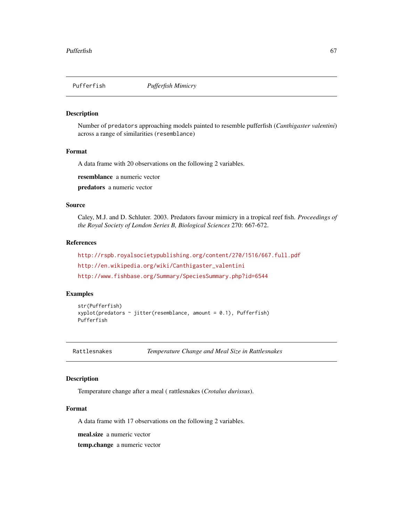Number of predators approaching models painted to resemble pufferfish (*Canthigaster valentini*) across a range of similarities (resemblance)

## Format

A data frame with 20 observations on the following 2 variables.

resemblance a numeric vector

predators a numeric vector

#### Source

Caley, M.J. and D. Schluter. 2003. Predators favour mimicry in a tropical reef fish. *Proceedings of the Royal Society of London Series B, Biological Sciences* 270: 667-672.

# References

<http://rspb.royalsocietypublishing.org/content/270/1516/667.full.pdf> [http://en.wikipedia.org/wiki/Canthigaster\\_valentini](http://en.wikipedia.org/wiki/Canthigaster_valentini) <http://www.fishbase.org/Summary/SpeciesSummary.php?id=6544>

## Examples

```
str(Pufferfish)
xyplot(predators ~jitter(resemblance, amount = 0.1), Pufferfish)Pufferfish
```
Rattlesnakes *Temperature Change and Meal Size in Rattlesnakes*

## Description

Temperature change after a meal ( rattlesnakes (*Crotalus durissus*).

#### Format

A data frame with 17 observations on the following 2 variables.

meal.size a numeric vector

temp.change a numeric vector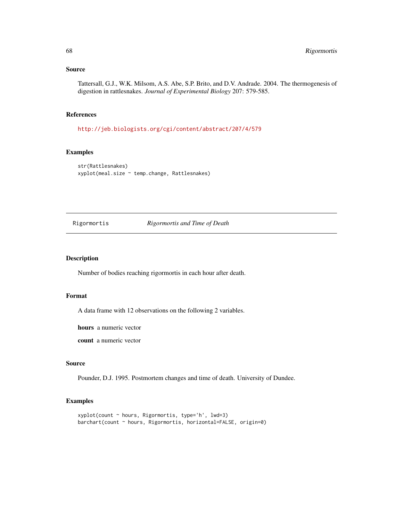Tattersall, G.J., W.K. Milsom, A.S. Abe, S.P. Brito, and D.V. Andrade. 2004. The thermogenesis of digestion in rattlesnakes. *Journal of Experimental Biology* 207: 579-585.

## References

<http://jeb.biologists.org/cgi/content/abstract/207/4/579>

# Examples

```
str(Rattlesnakes)
xyplot(meal.size ~ temp.change, Rattlesnakes)
```
## Rigormortis *Rigormortis and Time of Death*

## Description

Number of bodies reaching rigormortis in each hour after death.

# Format

A data frame with 12 observations on the following 2 variables.

hours a numeric vector

count a numeric vector

## Source

Pounder, D.J. 1995. Postmortem changes and time of death. University of Dundee.

```
xyplot(count ~ hours, Rigormortis, type='h', lwd=3)
barchart(count ~ hours, Rigormortis, horizontal=FALSE, origin=0)
```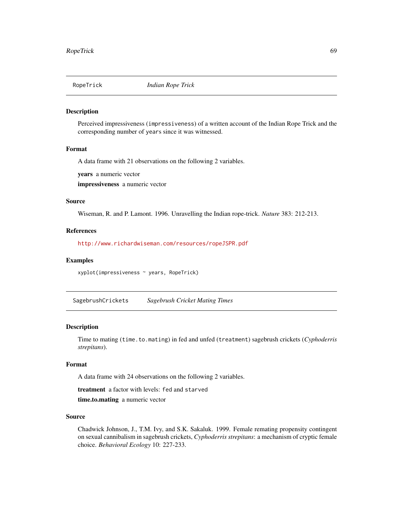Perceived impressiveness (impressiveness) of a written account of the Indian Rope Trick and the corresponding number of years since it was witnessed.

#### Format

A data frame with 21 observations on the following 2 variables.

years a numeric vector

impressiveness a numeric vector

#### Source

Wiseman, R. and P. Lamont. 1996. Unravelling the Indian rope-trick. *Nature* 383: 212-213.

#### References

<http://www.richardwiseman.com/resources/ropeJSPR.pdf>

#### Examples

xyplot(impressiveness ~ years, RopeTrick)

SagebrushCrickets *Sagebrush Cricket Mating Times*

#### Description

Time to mating (time.to.mating) in fed and unfed (treatment) sagebrush crickets (*Cyphoderris strepitans*).

#### Format

A data frame with 24 observations on the following 2 variables.

treatment a factor with levels: fed and starved

time.to.mating a numeric vector

#### Source

Chadwick Johnson, J., T.M. Ivy, and S.K. Sakaluk. 1999. Female remating propensity contingent on sexual cannibalism in sagebrush crickets, *Cyphoderris strepitans*: a mechanism of cryptic female choice. *Behavioral Ecology* 10: 227-233.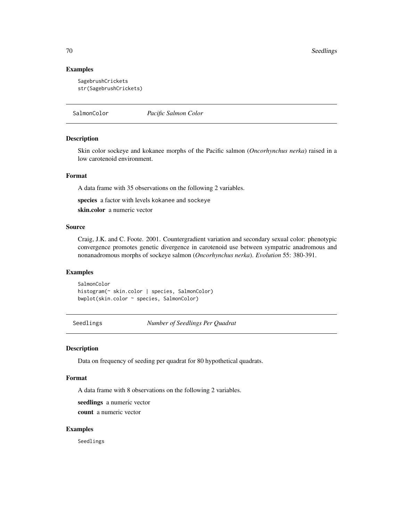70 Seedlings and the second second second second second second second second second second second second second second second second second second second second second second second second second second second second secon

## Examples

```
SagebrushCrickets
str(SagebrushCrickets)
```
SalmonColor *Pacific Salmon Color*

## Description

Skin color sockeye and kokanee morphs of the Pacific salmon (*Oncorhynchus nerka*) raised in a low carotenoid environment.

#### Format

A data frame with 35 observations on the following 2 variables.

species a factor with levels kokanee and sockeye

skin.color a numeric vector

## Source

Craig, J.K. and C. Foote. 2001. Countergradient variation and secondary sexual color: phenotypic convergence promotes genetic divergence in carotenoid use between sympatric anadromous and nonanadromous morphs of sockeye salmon (*Oncorhynchus nerka*). *Evolution* 55: 380-391.

# Examples

```
SalmonColor
histogram(~ skin.color | species, SalmonColor)
bwplot(skin.color ~ species, SalmonColor)
```
Seedlings *Number of Seedlings Per Quadrat*

## Description

Data on frequency of seeding per quadrat for 80 hypothetical quadrats.

### Format

A data frame with 8 observations on the following 2 variables.

seedlings a numeric vector count a numeric vector

## Examples

Seedlings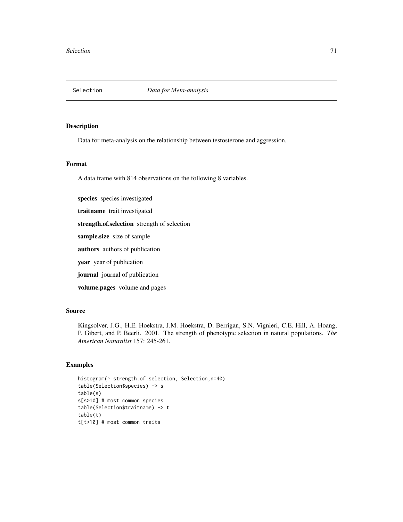Data for meta-analysis on the relationship between testosterone and aggression.

#### Format

A data frame with 814 observations on the following 8 variables.

species species investigated

traitname trait investigated

strength.of.selection strength of selection

sample.size size of sample

authors authors of publication

year year of publication

journal journal of publication

volume.pages volume and pages

## Source

Kingsolver, J.G., H.E. Hoekstra, J.M. Hoekstra, D. Berrigan, S.N. Vignieri, C.E. Hill, A. Hoang, P. Gibert, and P. Beerli. 2001. The strength of phenotypic selection in natural populations. *The American Naturalist* 157: 245-261.

```
histogram(~ strength.of.selection, Selection,n=40)
table(Selection$species) -> s
table(s)
s[s>10] # most common species
table(Selection$traitname) -> t
table(t)
t[t>10] # most common traits
```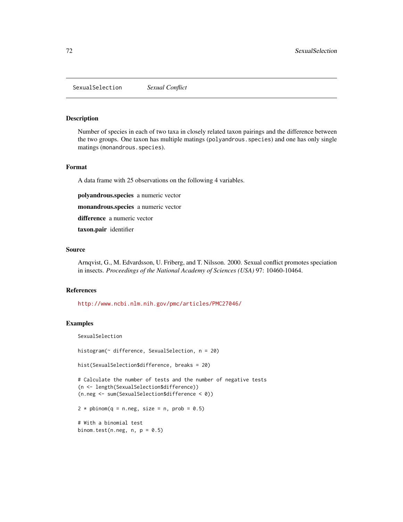SexualSelection *Sexual Conflict*

#### Description

Number of species in each of two taxa in closely related taxon pairings and the difference between the two groups. One taxon has multiple matings (polyandrous.species) and one has only single matings (monandrous.species).

## Format

A data frame with 25 observations on the following 4 variables.

polyandrous.species a numeric vector

monandrous.species a numeric vector

difference a numeric vector

taxon.pair identifier

# Source

Arnqvist, G., M. Edvardsson, U. Friberg, and T. Nilsson. 2000. Sexual conflict promotes speciation in insects. *Proceedings of the National Academy of Sciences (USA)* 97: 10460-10464.

#### References

<http://www.ncbi.nlm.nih.gov/pmc/articles/PMC27046/>

#### Examples

SexualSelection

histogram(~ difference, SexualSelection, n = 20)

hist(SexualSelection\$difference, breaks = 20)

# Calculate the number of tests and the number of negative tests (n <- length(SexualSelection\$difference)) (n.neg <- sum(SexualSelection\$difference < 0))

 $2 * pbinom{q = n \cdot neg}$ , size = n, prob = 0.5)

# With a binomial test binom.test(n.neg,  $n, p = 0.5$ )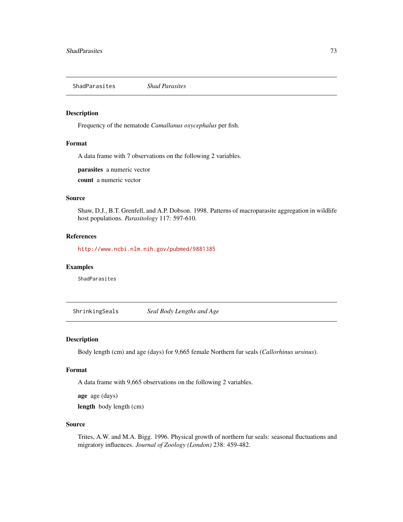<span id="page-72-0"></span>ShadParasites *Shad Parasites*

#### Description

Frequency of the nematode *Camallanus oxycephalus* per fish.

# Format

A data frame with 7 observations on the following 2 variables.

parasites a numeric vector

count a numeric vector

# Source

Shaw, D.J., B.T. Grenfell, and A.P. Dobson. 1998. Patterns of macroparasite aggregation in wildlife host populations. *Parasitology* 117: 597-610.

#### References

<http://www.ncbi.nlm.nih.gov/pubmed/9881385>

#### Examples

ShadParasites

ShrinkingSeals *Seal Body Lengths and Age*

#### Description

Body length (cm) and age (days) for 9,665 female Northern fur seals (*Callorhinus ursinus*).

#### Format

A data frame with 9,665 observations on the following 2 variables.

age age (days)

length body length (cm)

#### Source

Trites, A.W. and M.A. Bigg. 1996. Physical growth of northern fur seals: seasonal fluctuations and migratory influences. *Journal of Zoology (London)* 238: 459-482.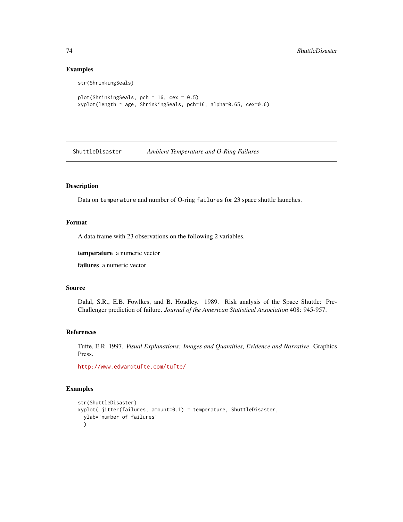# Examples

```
str(ShrinkingSeals)
plot(ShrinkingSeals, pch = 16, cex = 0.5)
xyplot(length ~ age, ShrinkingSeals, pch=16, alpha=0.65, cex=0.6)
```
ShuttleDisaster *Ambient Temperature and O-Ring Failures*

# Description

Data on temperature and number of O-ring failures for 23 space shuttle launches.

#### Format

A data frame with 23 observations on the following 2 variables.

temperature a numeric vector

failures a numeric vector

#### Source

Dalal, S.R., E.B. Fowlkes, and B. Hoadley. 1989. Risk analysis of the Space Shuttle: Pre-Challenger prediction of failure. *Journal of the American Statistical Association* 408: 945-957.

#### References

Tufte, E.R. 1997. *Visual Explanations: Images and Quantities, Evidence and Narrative*. Graphics Press.

<http://www.edwardtufte.com/tufte/>

# Examples

```
str(ShuttleDisaster)
xyplot( jitter(failures, amount=0.1) ~ temperature, ShuttleDisaster,
 ylab='number of failures'
 )
```
<span id="page-73-0"></span>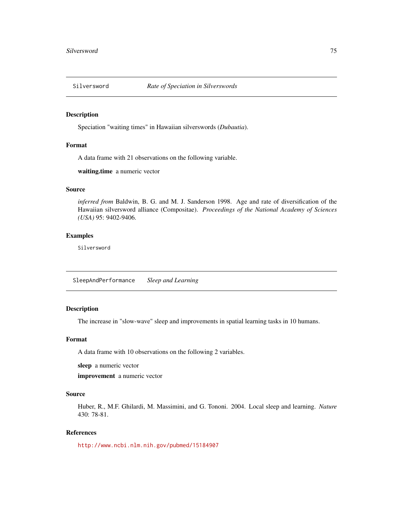<span id="page-74-0"></span>

Speciation "waiting times" in Hawaiian silverswords (*Dubautia*).

# Format

A data frame with 21 observations on the following variable.

waiting.time a numeric vector

# Source

*inferred from* Baldwin, B. G. and M. J. Sanderson 1998. Age and rate of diversification of the Hawaiian silversword alliance (Compositae). *Proceedings of the National Academy of Sciences (USA)* 95: 9402-9406.

# Examples

Silversword

SleepAndPerformance *Sleep and Learning*

# Description

The increase in "slow-wave" sleep and improvements in spatial learning tasks in 10 humans.

#### Format

A data frame with 10 observations on the following 2 variables.

sleep a numeric vector

improvement a numeric vector

#### Source

Huber, R., M.F. Ghilardi, M. Massimini, and G. Tononi. 2004. Local sleep and learning. *Nature* 430: 78-81.

# References

<http://www.ncbi.nlm.nih.gov/pubmed/15184907>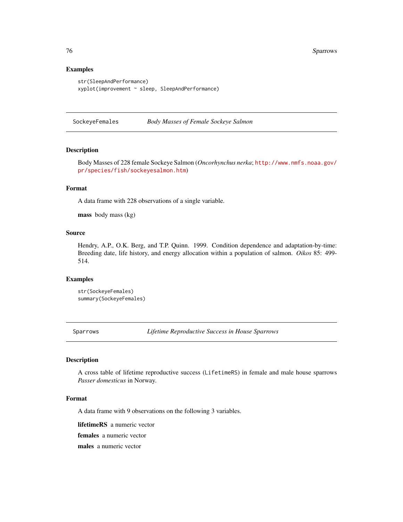# Examples

```
str(SleepAndPerformance)
xyplot(improvement ~ sleep, SleepAndPerformance)
```
SockeyeFemales *Body Masses of Female Sockeye Salmon*

#### Description

Body Masses of 228 female Sockeye Salmon (*Oncorhynchus nerka*; [http://www.nmfs.noaa.gov/](http://www.nmfs.noaa.gov/pr/species/fish/sockeyesalmon.htm) [pr/species/fish/sockeyesalmon.htm](http://www.nmfs.noaa.gov/pr/species/fish/sockeyesalmon.htm))

# Format

A data frame with 228 observations of a single variable.

mass body mass (kg)

# Source

Hendry, A.P., O.K. Berg, and T.P. Quinn. 1999. Condition dependence and adaptation-by-time: Breeding date, life history, and energy allocation within a population of salmon. *Oikos* 85: 499- 514.

# Examples

str(SockeyeFemales) summary(SockeyeFemales)

Sparrows *Lifetime Reproductive Success in House Sparrows*

#### Description

A cross table of lifetime reproductive success (LifetimeRS) in female and male house sparrows *Passer domesticus* in Norway.

# Format

A data frame with 9 observations on the following 3 variables.

lifetimeRS a numeric vector

females a numeric vector

males a numeric vector

<span id="page-75-0"></span>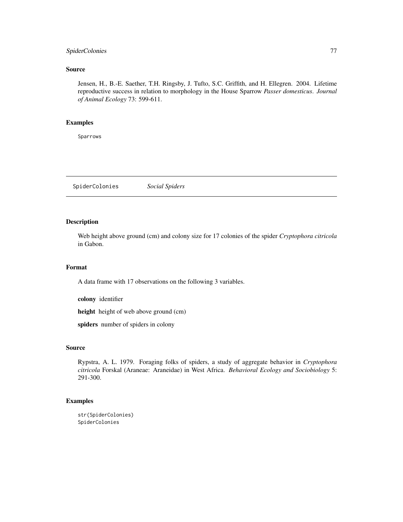# <span id="page-76-0"></span>SpiderColonies 77

# Source

Jensen, H., B.-E. Saether, T.H. Ringsby, J. Tufto, S.C. Griffith, and H. Ellegren. 2004. Lifetime reproductive success in relation to morphology in the House Sparrow *Passer domesticus*. *Journal of Animal Ecology* 73: 599-611.

# Examples

Sparrows

SpiderColonies *Social Spiders*

# Description

Web height above ground (cm) and colony size for 17 colonies of the spider *Cryptophora citricola* in Gabon.

# Format

A data frame with 17 observations on the following 3 variables.

colony identifier

height height of web above ground (cm)

spiders number of spiders in colony

# Source

Rypstra, A. L. 1979. Foraging folks of spiders, a study of aggregate behavior in *Cryptophora citricola* Forskal (Araneae: Araneidae) in West Africa. *Behavioral Ecology and Sociobiology* 5: 291-300.

# Examples

```
str(SpiderColonies)
SpiderColonies
```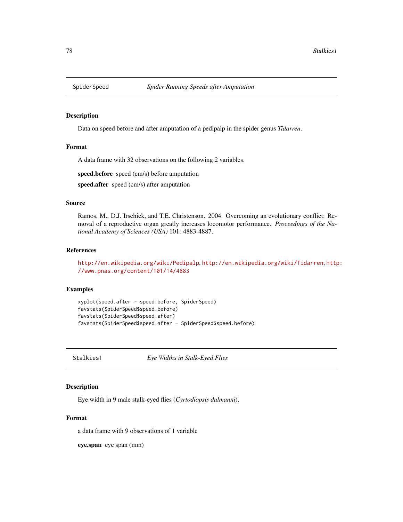<span id="page-77-0"></span>

Data on speed before and after amputation of a pedipalp in the spider genus *Tidarren*.

#### Format

A data frame with 32 observations on the following 2 variables.

speed.before speed (cm/s) before amputation

speed.after speed (cm/s) after amputation

#### Source

Ramos, M., D.J. Irschick, and T.E. Christenson. 2004. Overcoming an evolutionary conflict: Removal of a reproductive organ greatly increases locomotor performance. *Proceedings of the National Academy of Sciences (USA)* 101: 4883-4887.

#### References

```
http://en.wikipedia.org/wiki/Pedipalp, http://en.wikipedia.org/wiki/Tidarren, http:
//www.pnas.org/content/101/14/4883
```
# Examples

```
xyplot(speed.after ~ speed.before, SpiderSpeed)
favstats(SpiderSpeed$speed.before)
favstats(SpiderSpeed$speed.after)
favstats(SpiderSpeed$speed.after - SpiderSpeed$speed.before)
```
Stalkies1 *Eye Widths in Stalk-Eyed Flies*

# Description

Eye width in 9 male stalk-eyed flies (*Cyrtodiopsis dalmanni*).

# Format

a data frame with 9 observations of 1 variable

eye.span eye span (mm)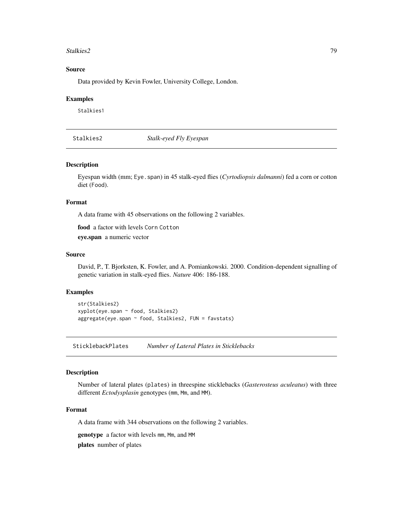#### <span id="page-78-0"></span>Stalkies2 79

# Source

Data provided by Kevin Fowler, University College, London.

# Examples

Stalkies1

Stalkies2 *Stalk-eyed Fly Eyespan*

#### Description

Eyespan width (mm; Eye.span) in 45 stalk-eyed flies (*Cyrtodiopsis dalmanni*) fed a corn or cotton diet (Food).

#### Format

A data frame with 45 observations on the following 2 variables.

food a factor with levels Corn Cotton

eye.span a numeric vector

# Source

David, P., T. Bjorksten, K. Fowler, and A. Pomiankowski. 2000. Condition-dependent signalling of genetic variation in stalk-eyed flies. *Nature* 406: 186-188.

#### Examples

```
str(Stalkies2)
xyplot(eye.span ~ food, Stalkies2)
aggregate(eye.span ~ food, Stalkies2, FUN = favstats)
```
SticklebackPlates *Number of Lateral Plates in Sticklebacks*

#### Description

Number of lateral plates (plates) in threespine sticklebacks (*Gasterosteus aculeatus*) with three different *Ectodysplasin* genotypes (mm, Mm, and MM).

# Format

A data frame with 344 observations on the following 2 variables.

genotype a factor with levels mm, Mm, and MM

plates number of plates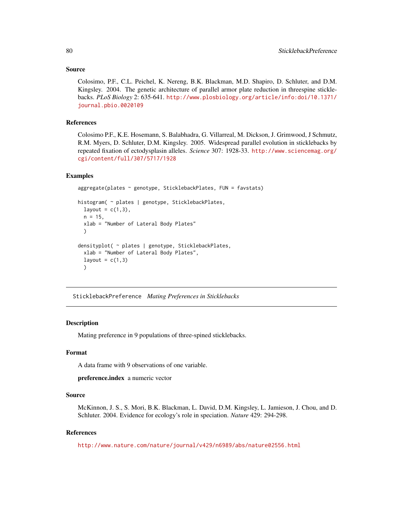# <span id="page-79-0"></span>Source

Colosimo, P.F., C.L. Peichel, K. Nereng, B.K. Blackman, M.D. Shapiro, D. Schluter, and D.M. Kingsley. 2004. The genetic architecture of parallel armor plate reduction in threespine sticklebacks. *PLoS Biology* 2: 635-641. [http://www.plosbiology.org/article/info:doi/10.1371/](http://www.plosbiology.org/article/info:doi/10.1371/journal.pbio.0020109) [journal.pbio.0020109](http://www.plosbiology.org/article/info:doi/10.1371/journal.pbio.0020109)

# References

Colosimo P.F., K.E. Hosemann, S. Balabhadra, G. Villarreal, M. Dickson, J. Grimwood, J Schmutz, R.M. Myers, D. Schluter, D.M. Kingsley. 2005. Widespread parallel evolution in sticklebacks by repeated fixation of ectodysplasin alleles. *Science* 307: 1928-33. [http://www.sciencemag.org/](http://www.sciencemag.org/cgi/content/full/307/5717/1928) [cgi/content/full/307/5717/1928](http://www.sciencemag.org/cgi/content/full/307/5717/1928)

#### Examples

```
aggregate(plates ~ genotype, SticklebackPlates, FUN = favstats)
histogram( ~ plates | genotype, SticklebackPlates,
 layout = c(1,3),
 n = 15,
 xlab = "Number of Lateral Body Plates"
 \lambdadensityplot( ~ plates | genotype, SticklebackPlates,
 xlab = "Number of Lateral Body Plates",
 layout = c(1,3)\lambda
```
SticklebackPreference *Mating Preferences in Sticklebacks*

#### Description

Mating preference in 9 populations of three-spined sticklebacks.

#### Format

A data frame with 9 observations of one variable.

preference.index a numeric vector

# Source

McKinnon, J. S., S. Mori, B.K. Blackman, L. David, D.M. Kingsley, L. Jamieson, J. Chou, and D. Schluter. 2004. Evidence for ecology's role in speciation. *Nature* 429: 294-298.

#### References

<http://www.nature.com/nature/journal/v429/n6989/abs/nature02556.html>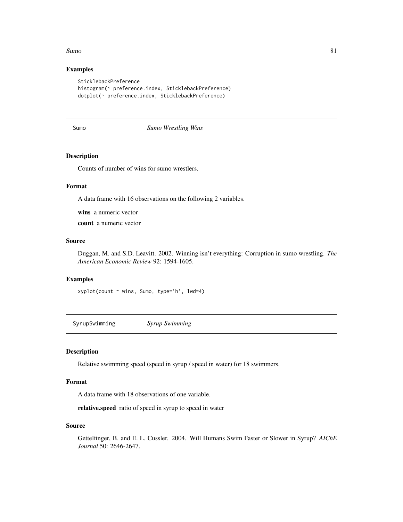#### <span id="page-80-0"></span> $sumo$  81

# Examples

```
SticklebackPreference
histogram(~ preference.index, SticklebackPreference)
dotplot(~ preference.index, SticklebackPreference)
```
# Sumo *Sumo Wrestling Wins*

# Description

Counts of number of wins for sumo wrestlers.

# Format

A data frame with 16 observations on the following 2 variables.

wins a numeric vector

count a numeric vector

# Source

Duggan, M. and S.D. Leavitt. 2002. Winning isn't everything: Corruption in sumo wrestling. *The American Economic Review* 92: 1594-1605.

# Examples

xyplot(count ~ wins, Sumo, type='h', lwd=4)

SyrupSwimming *Syrup Swimming*

# Description

Relative swimming speed (speed in syrup / speed in water) for 18 swimmers.

# Format

A data frame with 18 observations of one variable.

relative.speed ratio of speed in syrup to speed in water

#### Source

Gettelfinger, B. and E. L. Cussler. 2004. Will Humans Swim Faster or Slower in Syrup? *AIChE Journal* 50: 2646-2647.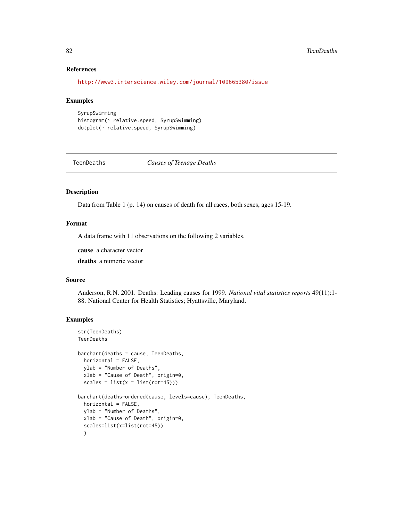# References

<http://www3.interscience.wiley.com/journal/109665380/issue>

#### Examples

```
SyrupSwimming
histogram(~ relative.speed, SyrupSwimming)
dotplot(~ relative.speed, SyrupSwimming)
```
TeenDeaths *Causes of Teenage Deaths*

# Description

Data from Table 1 (p. 14) on causes of death for all races, both sexes, ages 15-19.

# Format

A data frame with 11 observations on the following 2 variables.

cause a character vector

deaths a numeric vector

#### Source

Anderson, R.N. 2001. Deaths: Leading causes for 1999. *National vital statistics reports* 49(11):1- 88. National Center for Health Statistics; Hyattsville, Maryland.

# Examples

```
str(TeenDeaths)
TeenDeaths
barchart(deaths ~ cause, TeenDeaths,
  horizontal = FALSE,
  ylab = "Number of Deaths",
  xlab = "Cause of Death", origin=0,
  scales = list(x = list(root=45)))barchart(deaths~ordered(cause, levels=cause), TeenDeaths,
  horizontal = FALSE,
  ylab = "Number of Deaths",
  xlab = "Cause of Death", origin=0,
  scales=list(x=list(rot=45))
  )
```
<span id="page-81-0"></span>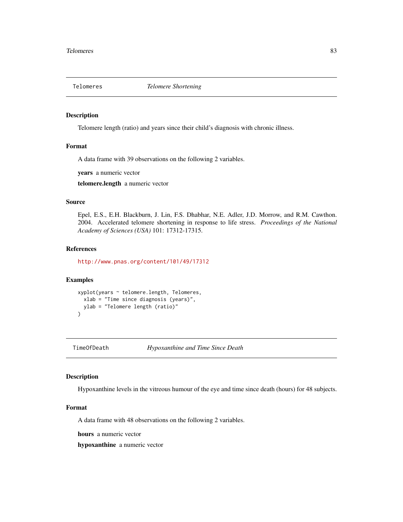<span id="page-82-0"></span>

Telomere length (ratio) and years since their child's diagnosis with chronic illness.

#### Format

A data frame with 39 observations on the following 2 variables.

years a numeric vector

telomere.length a numeric vector

# Source

Epel, E.S., E.H. Blackburn, J. Lin, F.S. Dhabhar, N.E. Adler, J.D. Morrow, and R.M. Cawthon. 2004. Accelerated telomere shortening in response to life stress. *Proceedings of the National Academy of Sciences (USA)* 101: 17312-17315.

# References

<http://www.pnas.org/content/101/49/17312>

# Examples

```
xyplot(years ~ telomere.length, Telomeres,
  xlab = "Time since diagnosis (years)",
  ylab = "Telomere length (ratio)"
)
```
TimeOfDeath *Hypoxanthine and Time Since Death*

# Description

Hypoxanthine levels in the vitreous humour of the eye and time since death (hours) for 48 subjects.

# Format

A data frame with 48 observations on the following 2 variables.

hours a numeric vector

hypoxanthine a numeric vector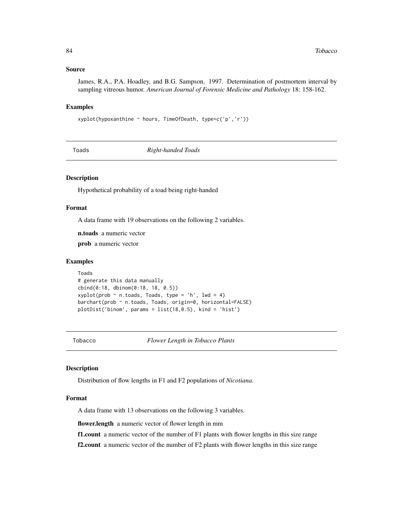#### <span id="page-83-1"></span>Source

James, R.A., P.A. Hoadley, and B.G. Sampson. 1997. Determination of postmortem interval by sampling vitreous humor. *American Journal of Forensic Medicine and Pathology* 18: 158-162.

# Examples

xyplot(hypoxanthine ~ hours, TimeOfDeath, type=c('p','r'))

Toads *Right-handed Toads*

# Description

Hypothetical probability of a toad being right-handed

# Format

A data frame with 19 observations on the following 2 variables.

n.toads a numeric vector

prob a numeric vector

# Examples

```
Toads
# generate this data manually
cbind(0:18, dbinom(0:18, 18, 0.5))
xyplot(prob ~ n.toads, Toads, type = 'h', lwd = 4)barchart(prob ~ n.toads, Toads, origin=0, horizontal=FALSE)
plotDist('binom', params = list(18, 0.5), kind = 'hist')
```
<span id="page-83-0"></span>Tobacco *Flower Length in Tobacco Plants*

#### Description

Distribution of flow lengths in F1 and F2 populations of *Nicotiana*.

#### Format

A data frame with 13 observations on the following 3 variables.

flower.length a numeric vector of flower length in mm

f1.count a numeric vector of the number of F1 plants with flower lengths in this size range

f2.count a numeric vector of the number of F2 plants with flower lengths in this size range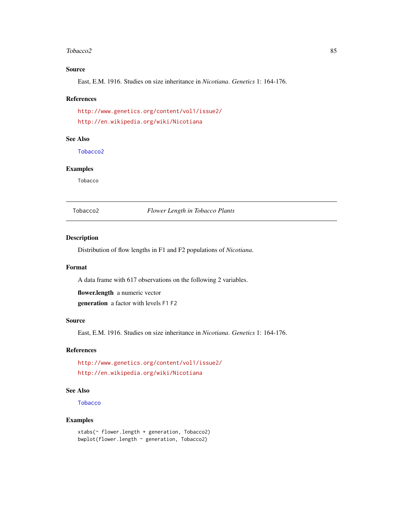#### <span id="page-84-1"></span>Tobacco2 85

# Source

East, E.M. 1916. Studies on size inheritance in *Nicotiana*. *Genetics* 1: 164-176.

#### References

<http://www.genetics.org/content/vol1/issue2/> <http://en.wikipedia.org/wiki/Nicotiana>

# See Also

[Tobacco2](#page-84-0)

# Examples

Tobacco

<span id="page-84-0"></span>Tobacco2 *Flower Length in Tobacco Plants*

#### Description

Distribution of flow lengths in F1 and F2 populations of *Nicotiana*.

# Format

A data frame with 617 observations on the following 2 variables.

flower.length a numeric vector generation a factor with levels F1 F2

#### Source

East, E.M. 1916. Studies on size inheritance in *Nicotiana*. *Genetics* 1: 164-176.

## References

<http://www.genetics.org/content/vol1/issue2/> <http://en.wikipedia.org/wiki/Nicotiana>

# See Also

**[Tobacco](#page-83-0)** 

# Examples

xtabs(~ flower.length + generation, Tobacco2) bwplot(flower.length ~ generation, Tobacco2)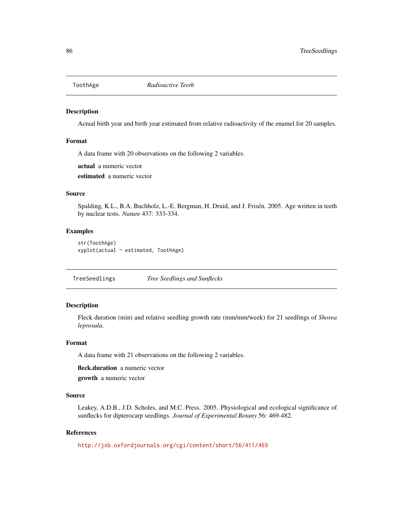<span id="page-85-0"></span>

Actual birth year and birth year estimated from relative radioactivity of the enamel for 20 samples.

# Format

A data frame with 20 observations on the following 2 variables.

actual a numeric vector

estimated a numeric vector

# Source

Spalding, K.L., B.A. Buchholz, L.-E. Bergman, H. Druid, and J. Frisén. 2005. Age written in teeth by nuclear tests. *Nature* 437: 333-334.

#### Examples

str(ToothAge) xyplot(actual ~ estimated, ToothAge)

TreeSeedlings *Tree Seedlings and Sunflecks*

# Description

Fleck duration (min) and relative seedling growth rate (mm/mm/week) for 21 seedlings of *Shorea leprosula*.

#### Format

A data frame with 21 observations on the following 2 variables.

fleck.duration a numeric vector

growth a numeric vector

# Source

Leakey, A.D.B., J.D. Scholes, and M.C. Press. 2005. Physiological and ecological significance of sunflecks for dipterocarp seedlings. *Journal of Experimental Botany* 56: 469-482.

# References

<http://jxb.oxfordjournals.org/cgi/content/short/56/411/469>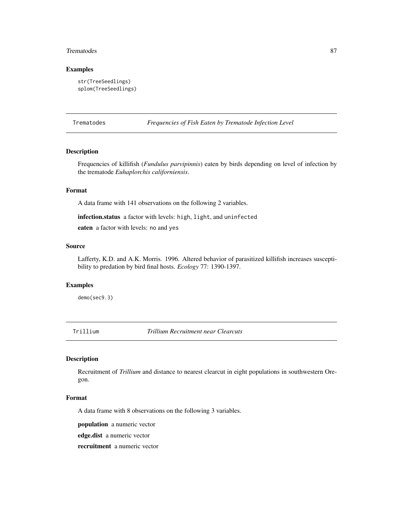#### <span id="page-86-0"></span>Trematodes 87

# Examples

```
str(TreeSeedlings)
splom(TreeSeedlings)
```
Trematodes *Frequencies of Fish Eaten by Trematode Infection Level*

# Description

Frequencies of killifish (*Fundulus parvipinnis*) eaten by birds depending on level of infection by the trematode *Euhaplorchis californiensis*.

# Format

A data frame with 141 observations on the following 2 variables.

infection.status a factor with levels: high, light, and uninfected

eaten a factor with levels: no and yes

#### Source

Lafferty, K.D. and A.K. Morris. 1996. Altered behavior of parasitized killifish increases susceptibility to predation by bird final hosts. *Ecology* 77: 1390-1397.

# Examples

demo(sec9.3)

Trillium *Trillium Recruitment near Clearcuts*

# Description

Recruitment of *Trillium* and distance to nearest clearcut in eight populations in southwestern Oregon.

#### Format

A data frame with 8 observations on the following 3 variables.

population a numeric vector

edge.dist a numeric vector

recruitment a numeric vector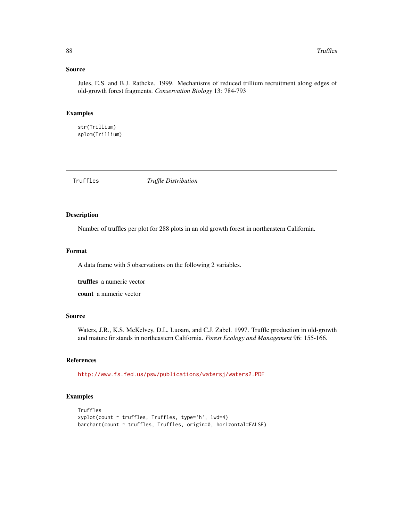#### <span id="page-87-0"></span>Source

Jules, E.S. and B.J. Rathcke. 1999. Mechanisms of reduced trillium recruitment along edges of old-growth forest fragments. *Conservation Biology* 13: 784-793

# Examples

str(Trillium) splom(Trillium)

Truffles *Truffle Distribution*

# Description

Number of truffles per plot for 288 plots in an old growth forest in northeastern California.

# Format

A data frame with 5 observations on the following 2 variables.

truffles a numeric vector

count a numeric vector

#### Source

Waters, J.R., K.S. McKelvey, D.L. Luoam, and C.J. Zabel. 1997. Truffle production in old-growth and mature fir stands in northeastern California. *Forest Ecology and Management* 96: 155-166.

# References

<http://www.fs.fed.us/psw/publications/watersj/waters2.PDF>

#### Examples

```
Truffles
xyplot(count ~ truffles, Truffles, type='h', lwd=4)
barchart(count ~ truffles, Truffles, origin=0, horizontal=FALSE)
```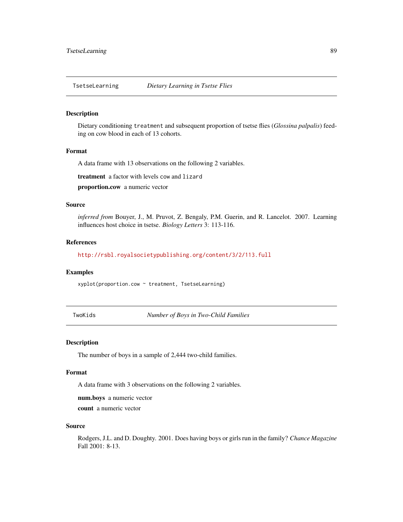<span id="page-88-0"></span>

Dietary conditioning treatment and subsequent proportion of tsetse flies (*Glossina palpalis*) feeding on cow blood in each of 13 cohorts.

# Format

A data frame with 13 observations on the following 2 variables.

treatment a factor with levels cow and lizard

proportion.cow a numeric vector

#### Source

*inferred from* Bouyer, J., M. Pruvot, Z. Bengaly, P.M. Guerin, and R. Lancelot. 2007. Learning influences host choice in tsetse. *Biology Letters* 3: 113-116.

# References

<http://rsbl.royalsocietypublishing.org/content/3/2/113.full>

# Examples

xyplot(proportion.cow ~ treatment, TsetseLearning)

TwoKids *Number of Boys in Two-Child Families*

#### Description

The number of boys in a sample of 2,444 two-child families.

#### Format

A data frame with 3 observations on the following 2 variables.

num.boys a numeric vector

count a numeric vector

#### Source

Rodgers, J.L. and D. Doughty. 2001. Does having boys or girls run in the family? *Chance Magazine* Fall 2001: 8-13.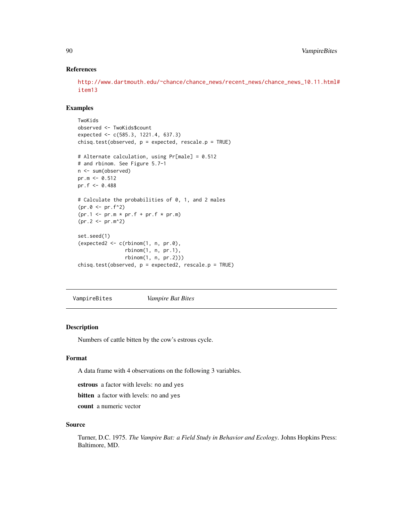# References

```
http://www.dartmouth.edu/~chance/chance_news/recent_news/chance_news_10.11.html#
item13
```
# Examples

```
TwoKids
observed <- TwoKids$count
expected <- c(585.3, 1221.4, 637.3)
chisq.test(observed, p = expected, rescale.p = TRUE)
# Alternate calculation, using Pr[male] = 0.512
# and rbinom. See Figure 5.7-1
n <- sum(observed)
pr.m < 0.512pr.f <- 0.488
# Calculate the probabilities of 0, 1, and 2 males
(pr.0 \leq pr.f^2)(pr.1 \leq pr.m \times pr.f + pr.f \times pr.m)(pr.2 < -pr.m^2)set.seed(1)
(expected2 < -c(rbinom{1}{n}, p, pr.0),rbinom(1, n, pr.1),
                rbinom(1, n, pr.2)))
chisq.test(observed, p = expected2, rescale.p = TRUE)
```
VampireBites *Vampire Bat Bites*

#### Description

Numbers of cattle bitten by the cow's estrous cycle.

# Format

A data frame with 4 observations on the following 3 variables.

estrous a factor with levels: no and yes

bitten a factor with levels: no and yes

count a numeric vector

# Source

Turner, D.C. 1975. *The Vampire Bat: a Field Study in Behavior and Ecology*. Johns Hopkins Press: Baltimore, MD.

<span id="page-89-0"></span>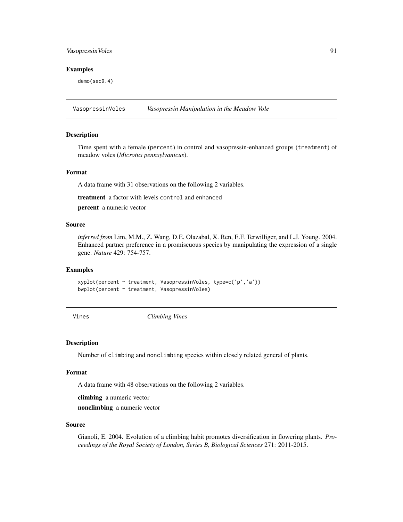# <span id="page-90-0"></span>VasopressinVoles 91

#### Examples

demo(sec9.4)

VasopressinVoles *Vasopressin Manipulation in the Meadow Vole*

# Description

Time spent with a female (percent) in control and vasopressin-enhanced groups (treatment) of meadow voles (*Microtus pennsylvanicus*).

# Format

A data frame with 31 observations on the following 2 variables.

treatment a factor with levels control and enhanced

percent a numeric vector

# Source

*inferred from* Lim, M.M., Z. Wang, D.E. Olazabal, X. Ren, E.F. Terwilliger, and L.J. Young. 2004. Enhanced partner preference in a promiscuous species by manipulating the expression of a single gene. *Nature* 429: 754-757.

# Examples

xyplot(percent ~ treatment, VasopressinVoles, type=c('p','a')) bwplot(percent ~ treatment, VasopressinVoles)

Vines *Climbing Vines*

#### Description

Number of climbing and nonclimbing species within closely related general of plants.

#### Format

A data frame with 48 observations on the following 2 variables.

climbing a numeric vector

nonclimbing a numeric vector

# Source

Gianoli, E. 2004. Evolution of a climbing habit promotes diversification in flowering plants. *Proceedings of the Royal Society of London, Series B, Biological Sciences* 271: 2011-2015.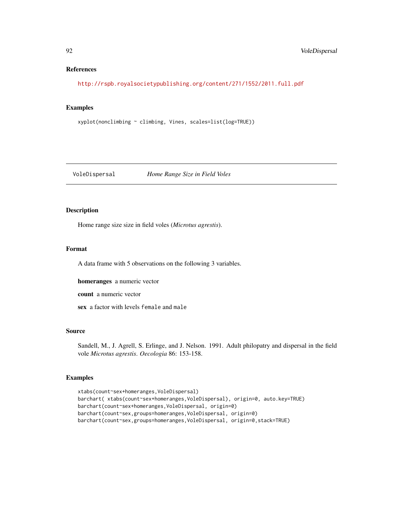# References

<http://rspb.royalsocietypublishing.org/content/271/1552/2011.full.pdf>

# Examples

xyplot(nonclimbing ~ climbing, Vines, scales=list(log=TRUE))

# VoleDispersal *Home Range Size in Field Voles*

# Description

Home range size size in field voles (*Microtus agrestis*).

# Format

A data frame with 5 observations on the following 3 variables.

homeranges a numeric vector

count a numeric vector

sex a factor with levels female and male

# Source

Sandell, M., J. Agrell, S. Erlinge, and J. Nelson. 1991. Adult philopatry and dispersal in the field vole *Microtus agrestis*. *Oecologia* 86: 153-158.

# Examples

```
xtabs(count~sex+homeranges,VoleDispersal)
barchart( xtabs(count~sex+homeranges,VoleDispersal), origin=0, auto.key=TRUE)
barchart(count~sex+homeranges,VoleDispersal, origin=0)
barchart(count~sex,groups=homeranges,VoleDispersal, origin=0)
barchart(count~sex,groups=homeranges,VoleDispersal, origin=0,stack=TRUE)
```
<span id="page-91-0"></span>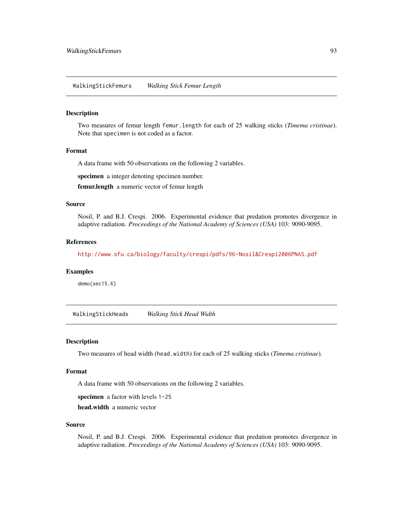<span id="page-92-0"></span>Two measures of femur length femur.length for each of 25 walking sticks (*Timema cristinae*). Note that specimen is not coded as a factor.

# Format

A data frame with 50 observations on the following 2 variables.

specimen a integer denoting specimen number.

femur.length a numeric vector of femur length

# Source

Nosil, P. and B.J. Crespi. 2006. Experimental evidence that predation promotes divergence in adaptive radiation. *Proceedings of the National Academy of Sciences (USA)* 103: 9090-9095.

#### References

<http://www.sfu.ca/biology/faculty/crespi/pdfs/96-Nosil&Crespi2006PNAS.pdf>

# Examples

demo(sec15.6)

WalkingStickHeads *Walking Stick Head Width*

#### Description

Two measures of head width (head.width) for each of 25 walking sticks (*Timema cristinae*).

#### Format

A data frame with 50 observations on the following 2 variables.

specimen a factor with levels 1-25

head.width a numeric vector

# Source

Nosil, P. and B.J. Crespi. 2006. Experimental evidence that predation promotes divergence in adaptive radiation. *Proceedings of the National Academy of Sciences (USA)* 103: 9090-9095.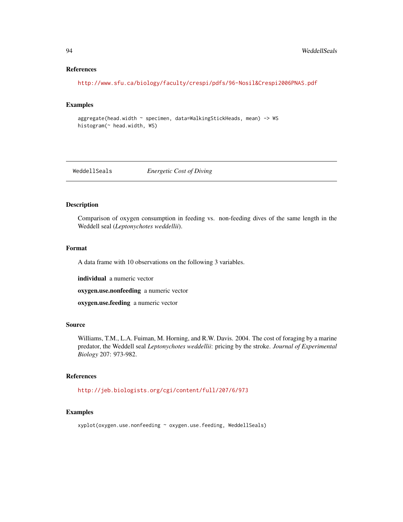# References

<http://www.sfu.ca/biology/faculty/crespi/pdfs/96-Nosil&Crespi2006PNAS.pdf>

# Examples

aggregate(head.width ~ specimen, data=WalkingStickHeads, mean) -> WS histogram(~ head.width, WS)

WeddellSeals *Energetic Cost of Diving*

# Description

Comparison of oxygen consumption in feeding vs. non-feeding dives of the same length in the Weddell seal (*Leptonychotes weddellii*).

# Format

A data frame with 10 observations on the following 3 variables.

individual a numeric vector

oxygen.use.nonfeeding a numeric vector

oxygen.use.feeding a numeric vector

# Source

Williams, T.M., L.A. Fuiman, M. Horning, and R.W. Davis. 2004. The cost of foraging by a marine predator, the Weddell seal *Leptonychotes weddellii*: pricing by the stroke. *Journal of Experimental Biology* 207: 973-982.

# References

<http://jeb.biologists.org/cgi/content/full/207/6/973>

# Examples

xyplot(oxygen.use.nonfeeding ~ oxygen.use.feeding, WeddellSeals)

<span id="page-93-0"></span>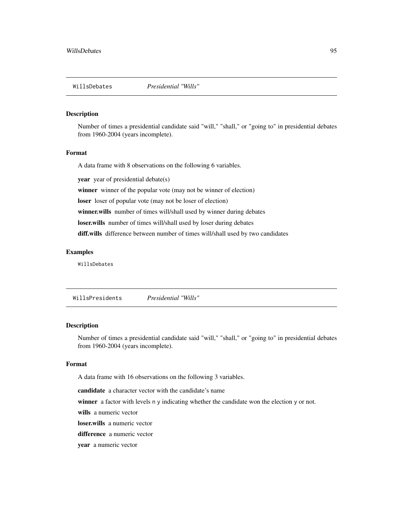<span id="page-94-1"></span><span id="page-94-0"></span>Number of times a presidential candidate said "will," "shall," or "going to" in presidential debates from 1960-2004 (years incomplete).

#### Format

A data frame with 8 observations on the following 6 variables.

year year of presidential debate(s)

winner winner of the popular vote (may not be winner of election)

loser loser of popular vote (may not be loser of election)

winner.wills number of times will/shall used by winner during debates

loser.wills number of times will/shall used by loser during debates

diff.wills difference between number of times will/shall used by two candidates

## Examples

WillsDebates

WillsPresidents *Presidential "Wills"*

# Description

Number of times a presidential candidate said "will," "shall," or "going to" in presidential debates from 1960-2004 (years incomplete).

# Format

A data frame with 16 observations on the following 3 variables.

candidate a character vector with the candidate's name

winner a factor with levels n y indicating whether the candidate won the election y or not.

wills a numeric vector

loser.wills a numeric vector

difference a numeric vector

year a numeric vector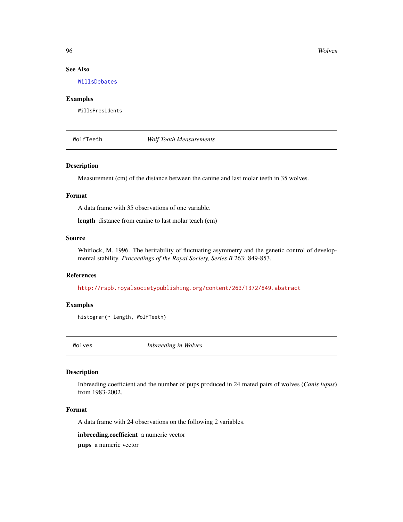96 Wolves and the contract of the contract of the contract of the contract of the contract of the contract of the contract of the contract of the contract of the contract of the contract of the contract of the contract of

# See Also

[WillsDebates](#page-94-0)

# Examples

WillsPresidents

WolfTeeth *Wolf Tooth Measurements*

#### Description

Measurement (cm) of the distance between the canine and last molar teeth in 35 wolves.

# Format

A data frame with 35 observations of one variable.

length distance from canine to last molar teach (cm)

# Source

Whitlock, M. 1996. The heritability of fluctuating asymmetry and the genetic control of developmental stability. *Proceedings of the Royal Society, Series B* 263: 849-853.

# References

<http://rspb.royalsocietypublishing.org/content/263/1372/849.abstract>

# Examples

histogram(~ length, WolfTeeth)

Wolves *Inbreeding in Wolves*

#### Description

Inbreeding coefficient and the number of pups produced in 24 mated pairs of wolves (*Canis lupus*) from 1983-2002.

# Format

A data frame with 24 observations on the following 2 variables.

inbreeding.coefficient a numeric vector

pups a numeric vector

<span id="page-95-0"></span>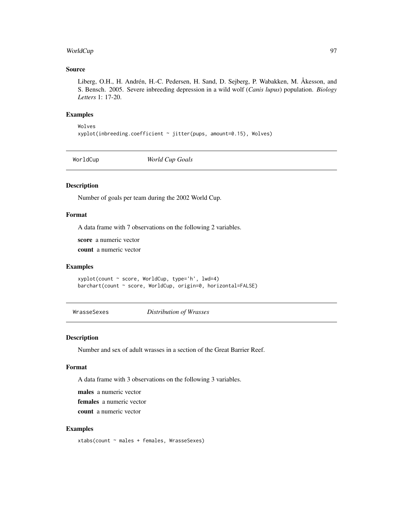# <span id="page-96-0"></span>WorldCup 97

# Source

Liberg, O.H., H. Andrén, H.-C. Pedersen, H. Sand, D. Sejberg, P. Wabakken, M. Åkesson, and S. Bensch. 2005. Severe inbreeding depression in a wild wolf (*Canis lupus*) population. *Biology Letters* 1: 17-20.

# Examples

Wolves xyplot(inbreeding.coefficient ~ jitter(pups, amount=0.15), Wolves)

WorldCup *World Cup Goals*

# Description

Number of goals per team during the 2002 World Cup.

# Format

A data frame with 7 observations on the following 2 variables.

score a numeric vector

count a numeric vector

#### Examples

xyplot(count ~ score, WorldCup, type='h', lwd=4) barchart(count ~ score, WorldCup, origin=0, horizontal=FALSE)

WrasseSexes *Distribution of Wrasses*

# Description

Number and sex of adult wrasses in a section of the Great Barrier Reef.

# Format

A data frame with 3 observations on the following 3 variables.

males a numeric vector

females a numeric vector

count a numeric vector

# Examples

xtabs(count ~ males + females, WrasseSexes)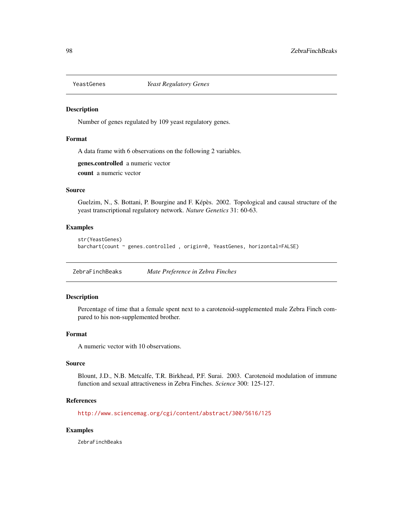<span id="page-97-0"></span>

Number of genes regulated by 109 yeast regulatory genes.

# Format

A data frame with 6 observations on the following 2 variables.

genes.controlled a numeric vector count a numeric vector

# Source

Guelzim, N., S. Bottani, P. Bourgine and F. Képès. 2002. Topological and causal structure of the yeast transcriptional regulatory network. *Nature Genetics* 31: 60-63.

# Examples

```
str(YeastGenes)
barchart(count ~ genes.controlled , origin=0, YeastGenes, horizontal=FALSE)
```
ZebraFinchBeaks *Mate Preference in Zebra Finches*

# Description

Percentage of time that a female spent next to a carotenoid-supplemented male Zebra Finch compared to his non-supplemented brother.

# Format

A numeric vector with 10 observations.

# Source

Blount, J.D., N.B. Metcalfe, T.R. Birkhead, P.F. Surai. 2003. Carotenoid modulation of immune function and sexual attractiveness in Zebra Finches. *Science* 300: 125-127.

# References

<http://www.sciencemag.org/cgi/content/abstract/300/5616/125>

#### Examples

ZebraFinchBeaks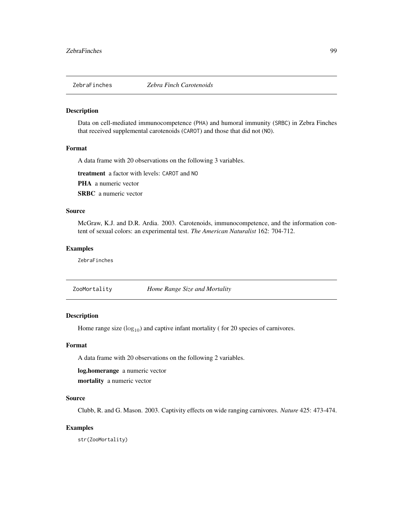<span id="page-98-0"></span>

Data on cell-mediated immunocompetence (PHA) and humoral immunity (SRBC) in Zebra Finches that received supplemental carotenoids (CAROT) and those that did not (NO).

# Format

A data frame with 20 observations on the following 3 variables.

treatment a factor with levels: CAROT and NO

PHA a numeric vector

SRBC a numeric vector

# Source

McGraw, K.J. and D.R. Ardia. 2003. Carotenoids, immunocompetence, and the information content of sexual colors: an experimental test. *The American Naturalist* 162: 704-712.

# Examples

ZebraFinches

ZooMortality *Home Range Size and Mortality*

# Description

Home range size  $(log_{10})$  and captive infant mortality ( for 20 species of carnivores.

# Format

A data frame with 20 observations on the following 2 variables.

log.homerange a numeric vector

mortality a numeric vector

#### Source

Clubb, R. and G. Mason. 2003. Captivity effects on wide ranging carnivores. *Nature* 425: 473-474.

# Examples

str(ZooMortality)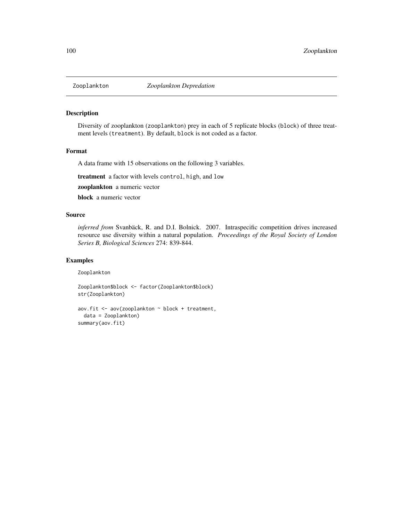<span id="page-99-0"></span>

Diversity of zooplankton (zooplankton) prey in each of 5 replicate blocks (block) of three treatment levels (treatment). By default, block is not coded as a factor.

#### Format

A data frame with 15 observations on the following 3 variables.

treatment a factor with levels control, high, and low

zooplankton a numeric vector

block a numeric vector

# Source

*inferred from* Svanbäck, R. and D.I. Bolnick. 2007. Intraspecific competition drives increased resource use diversity within a natural population. *Proceedings of the Royal Society of London Series B, Biological Sciences* 274: 839-844.

# Examples

Zooplankton

Zooplankton\$block <- factor(Zooplankton\$block) str(Zooplankton)

```
aov.fit <- aov(zooplankton ~ block + treatment,
 data = Zooplankton)
summary(aov.fit)
```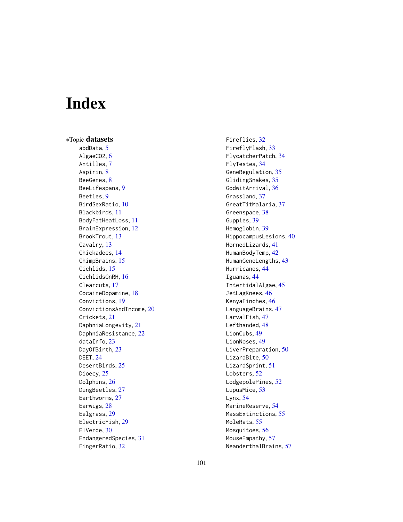# Index

∗Topic datasets abdData, [5](#page-4-0) AlgaeCO2, [6](#page-5-0) Antilles, [7](#page-6-0) Aspirin, [8](#page-7-0) BeeGenes, [8](#page-7-0) BeeLifespans, [9](#page-8-0) Beetles, [9](#page-8-0) BirdSexRatio, [10](#page-9-0) Blackbirds, [11](#page-10-0) BodyFatHeatLoss, [11](#page-10-0) BrainExpression, [12](#page-11-0) BrookTrout, [13](#page-12-0) Cavalry, [13](#page-12-0) Chickadees, [14](#page-13-0) ChimpBrains, [15](#page-14-0) Cichlids, [15](#page-14-0) CichlidsGnRH, [16](#page-15-0) Clearcuts, [17](#page-16-0) CocaineDopamine, [18](#page-17-0) Convictions, [19](#page-18-0) ConvictionsAndIncome, [20](#page-19-0) Crickets, [21](#page-20-0) DaphniaLongevity, [21](#page-20-0) DaphniaResistance, [22](#page-21-0) dataInfo, [23](#page-22-0) DayOfBirth, [23](#page-22-0) DEET, [24](#page-23-0) DesertBirds, [25](#page-24-0) Dioecy, [25](#page-24-0) Dolphins, [26](#page-25-0) DungBeetles, [27](#page-26-0) Earthworms, [27](#page-26-0) Earwigs, [28](#page-27-0) Eelgrass, [29](#page-28-0) ElectricFish, [29](#page-28-0) ElVerde, [30](#page-29-0) EndangeredSpecies, [31](#page-30-0) FingerRatio, [32](#page-31-0)

Fireflies, [32](#page-31-0) FireflyFlash, [33](#page-32-0) FlycatcherPatch, [34](#page-33-0) FlyTestes, [34](#page-33-0) GeneRegulation, [35](#page-34-0) GlidingSnakes, [35](#page-34-0) GodwitArrival, [36](#page-35-0) Grassland, [37](#page-36-0) GreatTitMalaria, [37](#page-36-0) Greenspace, [38](#page-37-0) Guppies, [39](#page-38-0) Hemoglobin, [39](#page-38-0) HippocampusLesions, [40](#page-39-0) HornedLizards, [41](#page-40-0) HumanBodyTemp, [42](#page-41-0) HumanGeneLengths, [43](#page-42-0) Hurricanes, [44](#page-43-0) Iguanas, [44](#page-43-0) IntertidalAlgae, [45](#page-44-0) JetLagKnees, [46](#page-45-0) KenyaFinches, [46](#page-45-0) LanguageBrains, [47](#page-46-0) LarvalFish, [47](#page-46-0) Lefthanded, [48](#page-47-0) LionCubs, [49](#page-48-0) LionNoses, [49](#page-48-0) LiverPreparation, [50](#page-49-0) LizardBite, [50](#page-49-0) LizardSprint, [51](#page-50-0) Lobsters, [52](#page-51-0) LodgepolePines, [52](#page-51-0) LupusMice, [53](#page-52-0) Lynx, [54](#page-53-0) MarineReserve, [54](#page-53-0) MassExtinctions, [55](#page-54-0) MoleRats, [55](#page-54-0) Mosquitoes, [56](#page-55-0) MouseEmpathy, [57](#page-56-0) NeanderthalBrains, [57](#page-56-0)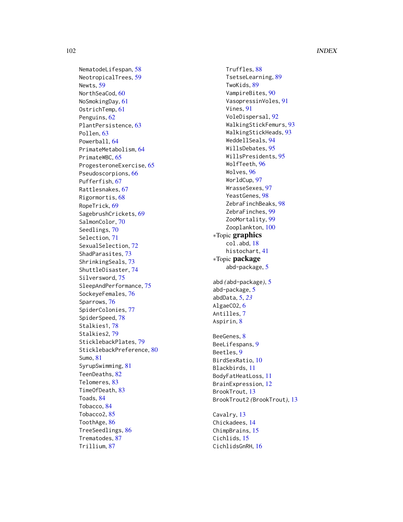NematodeLifespan , [58](#page-57-0) NeotropicalTrees , [59](#page-58-0) Newts , [59](#page-58-0) NorthSeaCod, [60](#page-59-0) NoSmokingDay, [61](#page-60-0) OstrichTemp , [61](#page-60-0) Penguins, [62](#page-61-0) PlantPersistence , [63](#page-62-0) Pollen, [63](#page-62-0) Powerball , [64](#page-63-0) PrimateMetabolism , [64](#page-63-0) PrimateWBC, [65](#page-64-0) ProgesteroneExercise , [65](#page-64-0) Pseudoscorpions , [66](#page-65-0) Pufferfish , [67](#page-66-0) Rattlesnakes , [67](#page-66-0) Rigormortis , [68](#page-67-0) RopeTrick , [69](#page-68-0) SagebrushCrickets , [69](#page-68-0) SalmonColor , [70](#page-69-0) Seedlings, [70](#page-69-0) Selection , [71](#page-70-0) SexualSelection, [72](#page-71-0) ShadParasites , [73](#page-72-0) ShrinkingSeals , [73](#page-72-0) ShuttleDisaster , [74](#page-73-0) Silversword, [75](#page-74-0) SleepAndPerformance, [75](#page-74-0) SockeyeFemales , [76](#page-75-0) Sparrows , [76](#page-75-0) SpiderColonies , [77](#page-76-0) SpiderSpeed , [78](#page-77-0) Stalkies1 , [78](#page-77-0) Stalkies2 , [79](#page-78-0) SticklebackPlates , [79](#page-78-0) SticklebackPreference, [80](#page-79-0) Sumo , [81](#page-80-0) SyrupSwimming , [81](#page-80-0) TeenDeaths , [82](#page-81-0) Telomeres , [83](#page-82-0) TimeOfDeath, [83](#page-82-0) Toads , [84](#page-83-1) Tobacco , [84](#page-83-1) Tobacco2 , [85](#page-84-1) ToothAge , [86](#page-85-0) TreeSeedlings , [86](#page-85-0) Trematodes , [87](#page-86-0) Trillium , [87](#page-86-0)

Truffles, [88](#page-87-0) TsetseLearning , [89](#page-88-0) TwoKids, [89](#page-88-0) VampireBites, [90](#page-89-0) VasopressinVoles , [91](#page-90-0) Vines, [91](#page-90-0) VoleDispersal, <mark>[92](#page-91-0)</mark> WalkingStickFemurs , [93](#page-92-0) WalkingStickHeads , [93](#page-92-0) WeddellSeals , [94](#page-93-0) WillsDebates , [95](#page-94-1) WillsPresidents , [95](#page-94-1) WolfTeeth , [96](#page-95-0) Wolves, <mark>[96](#page-95-0)</mark> WorldCup , [97](#page-96-0) WrasseSexes , [97](#page-96-0) YeastGenes, [98](#page-97-0) ZebraFinchBeaks , [98](#page-97-0) ZebraFinches, [99](#page-98-0) ZooMortality, [99](#page-98-0) Zooplankton, [100](#page-99-0) ∗Topic graphics col.abd , [18](#page-17-0) histochart , [41](#page-40-0) ∗Topic package abd-package, [5](#page-4-0) abd *(*abd-package *)* , [5](#page-4-0) abd-package, <mark>[5](#page-4-0)</mark> abdData , [5](#page-4-0) , *[23](#page-22-0)* AlgaeCO2, [6](#page-5-0) Antilles , [7](#page-6-0) Aspirin, <mark>[8](#page-7-0)</mark> BeeGenes, [8](#page-7-0) BeeLifespans, <mark>[9](#page-8-0)</mark> Beetles, <mark>[9](#page-8-0)</mark> BirdSexRatio, 1<mark>0</mark> Blackbirds , [11](#page-10-0) BodyFatHeatLoss , [11](#page-10-0) BrainExpression , [12](#page-11-0) BrookTrout, [13](#page-12-0) BrookTrout2 *(*BrookTrout *)* , [13](#page-12-0) Cavalry, [13](#page-12-0) Chickadees , [14](#page-13-0) ChimpBrains, [15](#page-14-0) Cichlids , [15](#page-14-0) CichlidsGnRH , [16](#page-15-0)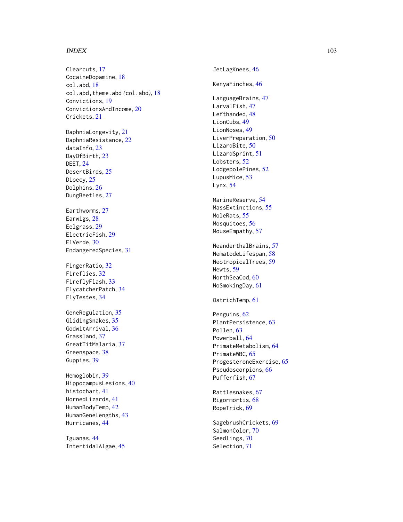# INDEX  $103$

Clearcuts , [17](#page-16-0) CocaineDopamine , [18](#page-17-0) col.abd , [18](#page-17-0) col.abd,theme.abd *(*col.abd *)* , [18](#page-17-0) Convictions , [19](#page-18-0) ConvictionsAndIncome, $20$ Crickets , [21](#page-20-0)

DaphniaLongevity , [21](#page-20-0) DaphniaResistance , [22](#page-21-0) dataInfo, [23](#page-22-0) DayOfBirth, [23](#page-22-0) DEET , [24](#page-23-0) DesertBirds, [25](#page-24-0) Dioecy, [25](#page-24-0) Dolphins, [26](#page-25-0) DungBeetles, [27](#page-26-0)

Earthworms, [27](#page-26-0) Earwigs, [28](#page-27-0) Eelgrass , [29](#page-28-0) ElectricFish , [29](#page-28-0) ElVerde, [30](#page-29-0) EndangeredSpecies , [31](#page-30-0)

FingerRatio, [32](#page-31-0) Fireflies , [32](#page-31-0) FireflyFlash, [33](#page-32-0) FlycatcherPatch , [34](#page-33-0) FlyTestes , [34](#page-33-0)

GeneRegulation, [35](#page-34-0) GlidingSnakes, [35](#page-34-0) GodwitArrival, [36](#page-35-0) Grassland, [37](#page-36-0) GreatTitMalaria , [37](#page-36-0) Greenspace, [38](#page-37-0) Guppies, [39](#page-38-0)

Hemoglobin , [39](#page-38-0) HippocampusLesions , [40](#page-39-0) histochart , [41](#page-40-0) HornedLizards , [41](#page-40-0) HumanBodyTemp, [42](#page-41-0) HumanGeneLengths , [43](#page-42-0) Hurricanes , [44](#page-43-0)

Iguanas , [44](#page-43-0) IntertidalAlgae , [45](#page-44-0) JetLagKnees, [46](#page-45-0) KenyaFinches , [46](#page-45-0) LanguageBrains, [47](#page-46-0) LarvalFish, [47](#page-46-0) Lefthanded, [48](#page-47-0) LionCubs , [49](#page-48-0) LionNoses, [49](#page-48-0) LiverPreparation, [50](#page-49-0) LizardBite,  $50$ LizardSprint , [51](#page-50-0) Lobsters, [52](#page-51-0) LodgepolePines , [52](#page-51-0) LupusMice, [53](#page-52-0) Lynx , [54](#page-53-0) MarineReserve, <mark>5</mark>4 MassExtinctions , [55](#page-54-0) MoleRats, [55](#page-54-0) Mosquitoes, [56](#page-55-0) MouseEmpathy, [57](#page-56-0) NeanderthalBrains , [57](#page-56-0) NematodeLifespan , [58](#page-57-0) NeotropicalTrees , [59](#page-58-0) Newts , [59](#page-58-0) NorthSeaCod, [60](#page-59-0) NoSmokingDay, [61](#page-60-0) OstrichTemp , [61](#page-60-0) Penguins, [62](#page-61-0) PlantPersistence , [63](#page-62-0) Pollen, [63](#page-62-0) Powerball, [64](#page-63-0) PrimateMetabolism , [64](#page-63-0) PrimateWBC, [65](#page-64-0) ProgesteroneExercise, [65](#page-64-0) Pseudoscorpions, [66](#page-65-0) Pufferfish, [67](#page-66-0) Rattlesnakes , [67](#page-66-0) Rigormortis, [68](#page-67-0) RopeTrick , [69](#page-68-0)

SagebrushCrickets , [69](#page-68-0) SalmonColor , [70](#page-69-0) Seedlings, [70](#page-69-0) Selection , [71](#page-70-0)